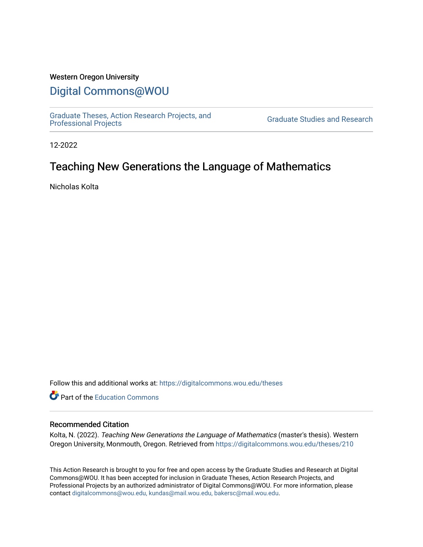## Western Oregon University

## [Digital Commons@WOU](https://digitalcommons.wou.edu/)

[Graduate Theses, Action Research Projects, and](https://digitalcommons.wou.edu/theses) 

**Graduate Studies and Research** 

12-2022

# Teaching New Generations the Language of Mathematics

Nicholas Kolta

Follow this and additional works at: [https://digitalcommons.wou.edu/theses](https://digitalcommons.wou.edu/theses?utm_source=digitalcommons.wou.edu%2Ftheses%2F210&utm_medium=PDF&utm_campaign=PDFCoverPages) 

**C** Part of the [Education Commons](https://network.bepress.com/hgg/discipline/784?utm_source=digitalcommons.wou.edu%2Ftheses%2F210&utm_medium=PDF&utm_campaign=PDFCoverPages)

#### Recommended Citation

Kolta, N. (2022). Teaching New Generations the Language of Mathematics (master's thesis). Western Oregon University, Monmouth, Oregon. Retrieved from [https://digitalcommons.wou.edu/theses/210](https://digitalcommons.wou.edu/theses/210?utm_source=digitalcommons.wou.edu%2Ftheses%2F210&utm_medium=PDF&utm_campaign=PDFCoverPages) 

This Action Research is brought to you for free and open access by the Graduate Studies and Research at Digital Commons@WOU. It has been accepted for inclusion in Graduate Theses, Action Research Projects, and Professional Projects by an authorized administrator of Digital Commons@WOU. For more information, please contact [digitalcommons@wou.edu, kundas@mail.wou.edu, bakersc@mail.wou.edu](mailto:digitalcommons@wou.edu,%20kundas@mail.wou.edu,%20bakersc@mail.wou.edu).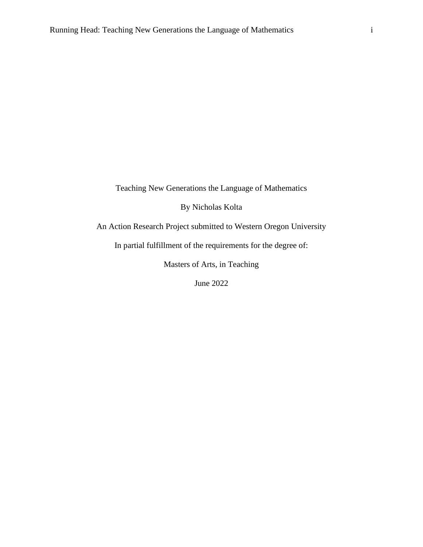Teaching New Generations the Language of Mathematics

By Nicholas Kolta

An Action Research Project submitted to Western Oregon University

In partial fulfillment of the requirements for the degree of:

Masters of Arts, in Teaching

June 2022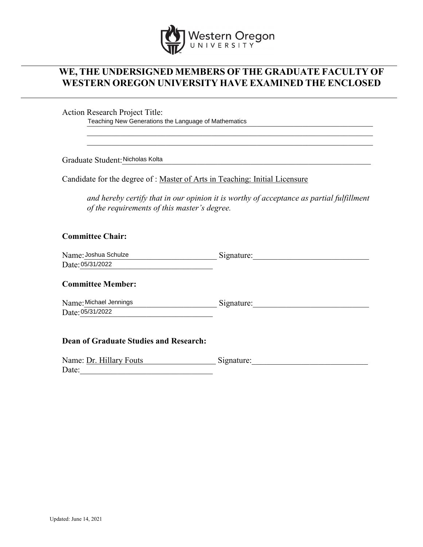

## **WE, THE UNDERSIGNED MEMBERS OF THE GRADUATE FACULTY OF WESTERN OREGON UNIVERSITY HAVE EXAMINED THE ENCLOSED**

Action Research Project Title:

Teaching New Generations the Language of Mathematics

Graduate Student: Nicholas Kolta

Candidate for the degree of : Master of Arts in Teaching: Initial Licensure

*and hereby certify that in our opinion it is worthy of acceptance as partial fulfillment of the requirements of this master's degree.*

\_\_\_\_\_\_\_\_\_\_\_\_\_\_\_\_\_\_\_\_\_\_\_\_\_\_\_\_\_\_\_\_\_\_\_\_\_\_\_\_\_\_\_\_\_\_\_\_\_\_\_\_\_\_\_\_\_\_\_\_\_\_\_\_\_\_\_\_\_

## **Committee Chair:**

| Name: Joshua Schulze | Signature: |
|----------------------|------------|
| Date: 05/31/2022     |            |

#### **Committee Member:**

Name: Michael Jennings Signature: Signature: Date: 05/31/2022

## **Dean of Graduate Studies and Research:**

| Name: Dr. Hillary Fouts | Signature: |
|-------------------------|------------|
| Date:                   |            |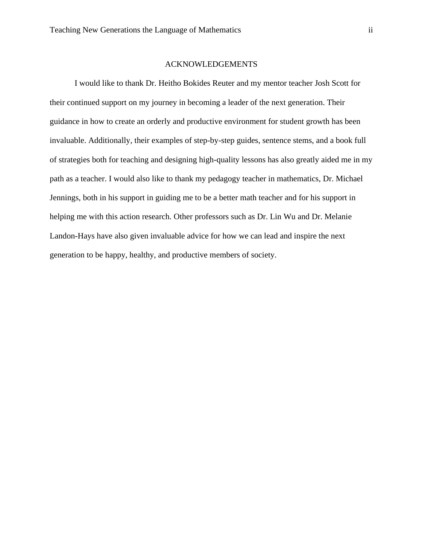#### ACKNOWLEDGEMENTS

I would like to thank Dr. Heitho Bokides Reuter and my mentor teacher Josh Scott for their continued support on my journey in becoming a leader of the next generation. Their guidance in how to create an orderly and productive environment for student growth has been invaluable. Additionally, their examples of step-by-step guides, sentence stems, and a book full of strategies both for teaching and designing high-quality lessons has also greatly aided me in my path as a teacher. I would also like to thank my pedagogy teacher in mathematics, Dr. Michael Jennings, both in his support in guiding me to be a better math teacher and for his support in helping me with this action research. Other professors such as Dr. Lin Wu and Dr. Melanie Landon-Hays have also given invaluable advice for how we can lead and inspire the next generation to be happy, healthy, and productive members of society.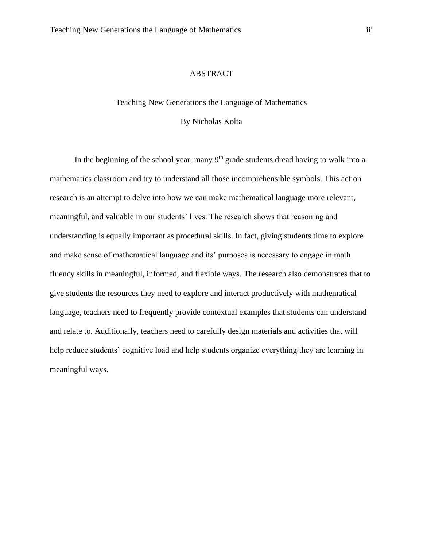## ABSTRACT

#### Teaching New Generations the Language of Mathematics

## By Nicholas Kolta

In the beginning of the school year, many  $9<sup>th</sup>$  grade students dread having to walk into a mathematics classroom and try to understand all those incomprehensible symbols. This action research is an attempt to delve into how we can make mathematical language more relevant, meaningful, and valuable in our students' lives. The research shows that reasoning and understanding is equally important as procedural skills. In fact, giving students time to explore and make sense of mathematical language and its' purposes is necessary to engage in math fluency skills in meaningful, informed, and flexible ways. The research also demonstrates that to give students the resources they need to explore and interact productively with mathematical language, teachers need to frequently provide contextual examples that students can understand and relate to. Additionally, teachers need to carefully design materials and activities that will help reduce students' cognitive load and help students organize everything they are learning in meaningful ways.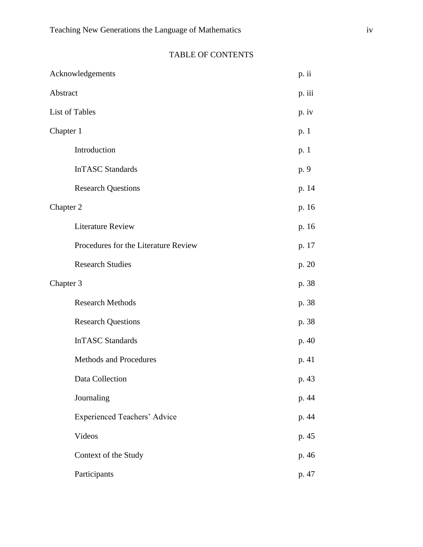|           | Acknowledgements                     | p. ii  |
|-----------|--------------------------------------|--------|
| Abstract  |                                      | p. iii |
|           | List of Tables                       | p. iv  |
| Chapter 1 |                                      | p. 1   |
|           | Introduction                         | p. 1   |
|           | <b>InTASC Standards</b>              | p. 9   |
|           | <b>Research Questions</b>            | p. 14  |
| Chapter 2 |                                      | p. 16  |
|           | <b>Literature Review</b>             | p. 16  |
|           | Procedures for the Literature Review | p. 17  |
|           | <b>Research Studies</b>              | p. 20  |
| Chapter 3 |                                      | p. 38  |
|           | <b>Research Methods</b>              | p. 38  |
|           | <b>Research Questions</b>            | p. 38  |
|           | <b>InTASC Standards</b>              | p. 40  |
|           | Methods and Procedures               | p. 41  |
|           | Data Collection                      | p. 43  |
|           | Journaling                           | p. 44  |
|           | <b>Experienced Teachers' Advice</b>  | p. 44  |
|           | Videos                               | p. 45  |
|           | Context of the Study                 | p. 46  |
|           | Participants                         | p. 47  |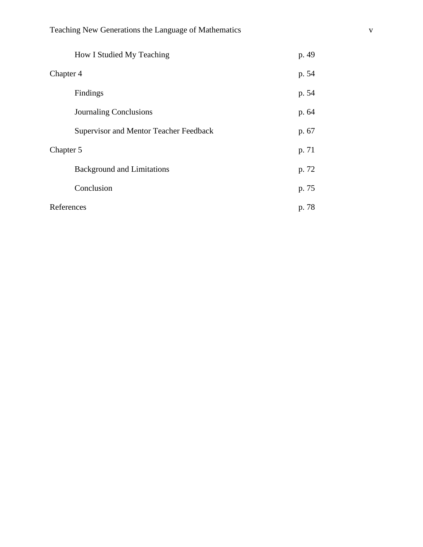|            | How I Studied My Teaching                     | p. 49 |
|------------|-----------------------------------------------|-------|
| Chapter 4  |                                               | p. 54 |
|            | Findings                                      | p. 54 |
|            | <b>Journaling Conclusions</b>                 | p. 64 |
|            | <b>Supervisor and Mentor Teacher Feedback</b> | p. 67 |
| Chapter 5  |                                               | p. 71 |
|            | <b>Background and Limitations</b>             | p. 72 |
|            | Conclusion                                    | p. 75 |
| References |                                               | p. 78 |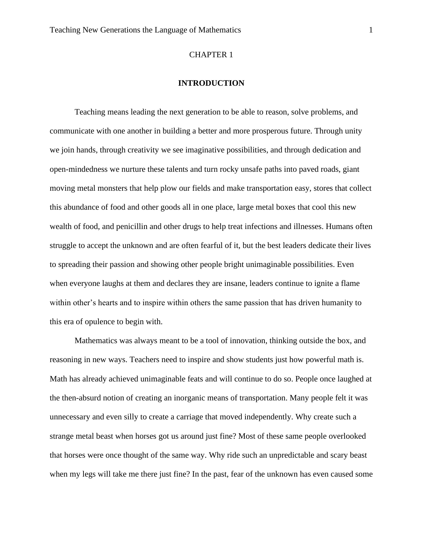#### CHAPTER 1

#### **INTRODUCTION**

Teaching means leading the next generation to be able to reason, solve problems, and communicate with one another in building a better and more prosperous future. Through unity we join hands, through creativity we see imaginative possibilities, and through dedication and open-mindedness we nurture these talents and turn rocky unsafe paths into paved roads, giant moving metal monsters that help plow our fields and make transportation easy, stores that collect this abundance of food and other goods all in one place, large metal boxes that cool this new wealth of food, and penicillin and other drugs to help treat infections and illnesses. Humans often struggle to accept the unknown and are often fearful of it, but the best leaders dedicate their lives to spreading their passion and showing other people bright unimaginable possibilities. Even when everyone laughs at them and declares they are insane, leaders continue to ignite a flame within other's hearts and to inspire within others the same passion that has driven humanity to this era of opulence to begin with.

Mathematics was always meant to be a tool of innovation, thinking outside the box, and reasoning in new ways. Teachers need to inspire and show students just how powerful math is. Math has already achieved unimaginable feats and will continue to do so. People once laughed at the then-absurd notion of creating an inorganic means of transportation. Many people felt it was unnecessary and even silly to create a carriage that moved independently. Why create such a strange metal beast when horses got us around just fine? Most of these same people overlooked that horses were once thought of the same way. Why ride such an unpredictable and scary beast when my legs will take me there just fine? In the past, fear of the unknown has even caused some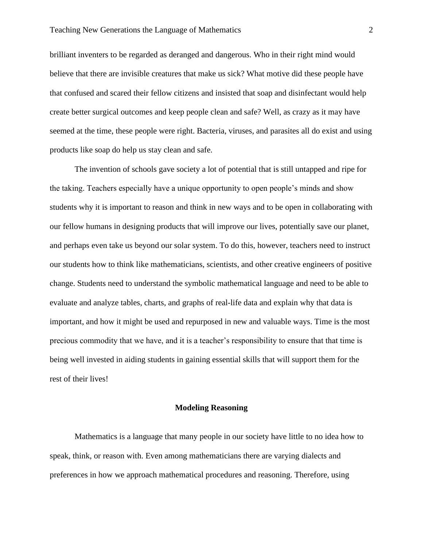brilliant inventers to be regarded as deranged and dangerous. Who in their right mind would believe that there are invisible creatures that make us sick? What motive did these people have that confused and scared their fellow citizens and insisted that soap and disinfectant would help create better surgical outcomes and keep people clean and safe? Well, as crazy as it may have seemed at the time, these people were right. Bacteria, viruses, and parasites all do exist and using products like soap do help us stay clean and safe.

The invention of schools gave society a lot of potential that is still untapped and ripe for the taking. Teachers especially have a unique opportunity to open people's minds and show students why it is important to reason and think in new ways and to be open in collaborating with our fellow humans in designing products that will improve our lives, potentially save our planet, and perhaps even take us beyond our solar system. To do this, however, teachers need to instruct our students how to think like mathematicians, scientists, and other creative engineers of positive change. Students need to understand the symbolic mathematical language and need to be able to evaluate and analyze tables, charts, and graphs of real-life data and explain why that data is important, and how it might be used and repurposed in new and valuable ways. Time is the most precious commodity that we have, and it is a teacher's responsibility to ensure that that time is being well invested in aiding students in gaining essential skills that will support them for the rest of their lives!

#### **Modeling Reasoning**

Mathematics is a language that many people in our society have little to no idea how to speak, think, or reason with. Even among mathematicians there are varying dialects and preferences in how we approach mathematical procedures and reasoning. Therefore, using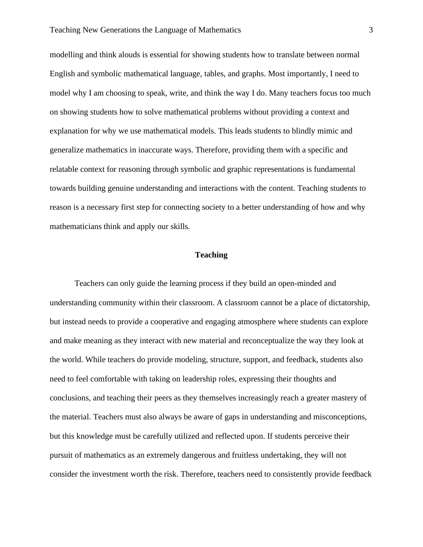modelling and think alouds is essential for showing students how to translate between normal English and symbolic mathematical language, tables, and graphs. Most importantly, I need to model why I am choosing to speak, write, and think the way I do. Many teachers focus too much on showing students how to solve mathematical problems without providing a context and explanation for why we use mathematical models. This leads students to blindly mimic and generalize mathematics in inaccurate ways. Therefore, providing them with a specific and relatable context for reasoning through symbolic and graphic representations is fundamental towards building genuine understanding and interactions with the content. Teaching students to reason is a necessary first step for connecting society to a better understanding of how and why mathematicians think and apply our skills.

## **Teaching**

Teachers can only guide the learning process if they build an open-minded and understanding community within their classroom. A classroom cannot be a place of dictatorship, but instead needs to provide a cooperative and engaging atmosphere where students can explore and make meaning as they interact with new material and reconceptualize the way they look at the world. While teachers do provide modeling, structure, support, and feedback, students also need to feel comfortable with taking on leadership roles, expressing their thoughts and conclusions, and teaching their peers as they themselves increasingly reach a greater mastery of the material. Teachers must also always be aware of gaps in understanding and misconceptions, but this knowledge must be carefully utilized and reflected upon. If students perceive their pursuit of mathematics as an extremely dangerous and fruitless undertaking, they will not consider the investment worth the risk. Therefore, teachers need to consistently provide feedback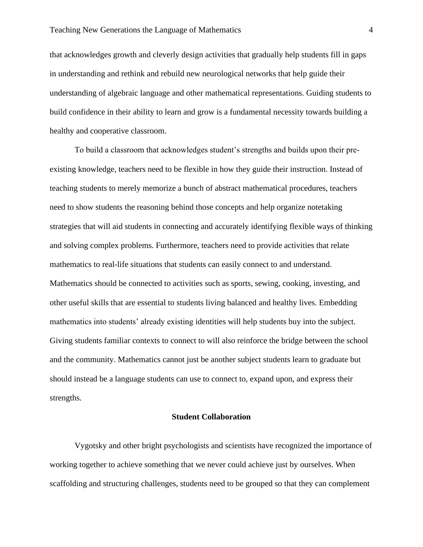that acknowledges growth and cleverly design activities that gradually help students fill in gaps in understanding and rethink and rebuild new neurological networks that help guide their understanding of algebraic language and other mathematical representations. Guiding students to build confidence in their ability to learn and grow is a fundamental necessity towards building a healthy and cooperative classroom.

To build a classroom that acknowledges student's strengths and builds upon their preexisting knowledge, teachers need to be flexible in how they guide their instruction. Instead of teaching students to merely memorize a bunch of abstract mathematical procedures, teachers need to show students the reasoning behind those concepts and help organize notetaking strategies that will aid students in connecting and accurately identifying flexible ways of thinking and solving complex problems. Furthermore, teachers need to provide activities that relate mathematics to real-life situations that students can easily connect to and understand. Mathematics should be connected to activities such as sports, sewing, cooking, investing, and other useful skills that are essential to students living balanced and healthy lives. Embedding mathematics into students' already existing identities will help students buy into the subject. Giving students familiar contexts to connect to will also reinforce the bridge between the school and the community. Mathematics cannot just be another subject students learn to graduate but should instead be a language students can use to connect to, expand upon, and express their strengths.

#### **Student Collaboration**

Vygotsky and other bright psychologists and scientists have recognized the importance of working together to achieve something that we never could achieve just by ourselves. When scaffolding and structuring challenges, students need to be grouped so that they can complement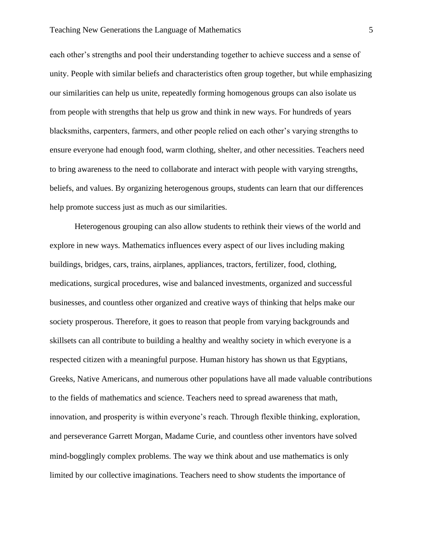each other's strengths and pool their understanding together to achieve success and a sense of unity. People with similar beliefs and characteristics often group together, but while emphasizing our similarities can help us unite, repeatedly forming homogenous groups can also isolate us from people with strengths that help us grow and think in new ways. For hundreds of years blacksmiths, carpenters, farmers, and other people relied on each other's varying strengths to ensure everyone had enough food, warm clothing, shelter, and other necessities. Teachers need to bring awareness to the need to collaborate and interact with people with varying strengths, beliefs, and values. By organizing heterogenous groups, students can learn that our differences help promote success just as much as our similarities.

Heterogenous grouping can also allow students to rethink their views of the world and explore in new ways. Mathematics influences every aspect of our lives including making buildings, bridges, cars, trains, airplanes, appliances, tractors, fertilizer, food, clothing, medications, surgical procedures, wise and balanced investments, organized and successful businesses, and countless other organized and creative ways of thinking that helps make our society prosperous. Therefore, it goes to reason that people from varying backgrounds and skillsets can all contribute to building a healthy and wealthy society in which everyone is a respected citizen with a meaningful purpose. Human history has shown us that Egyptians, Greeks, Native Americans, and numerous other populations have all made valuable contributions to the fields of mathematics and science. Teachers need to spread awareness that math, innovation, and prosperity is within everyone's reach. Through flexible thinking, exploration, and perseverance Garrett Morgan, Madame Curie, and countless other inventors have solved mind-bogglingly complex problems. The way we think about and use mathematics is only limited by our collective imaginations. Teachers need to show students the importance of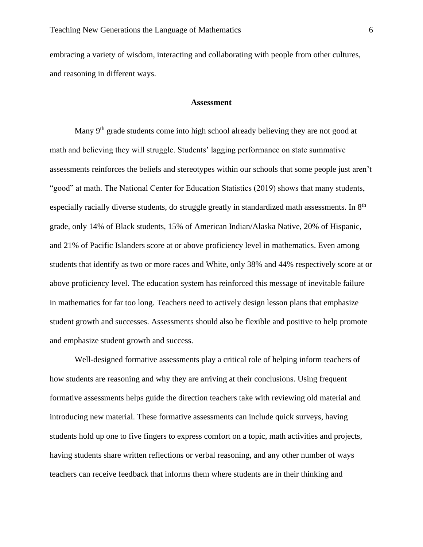embracing a variety of wisdom, interacting and collaborating with people from other cultures, and reasoning in different ways.

#### **Assessment**

Many 9<sup>th</sup> grade students come into high school already believing they are not good at math and believing they will struggle. Students' lagging performance on state summative assessments reinforces the beliefs and stereotypes within our schools that some people just aren't "good" at math. The National Center for Education Statistics (2019) shows that many students, especially racially diverse students, do struggle greatly in standardized math assessments. In 8<sup>th</sup> grade, only 14% of Black students, 15% of American Indian/Alaska Native, 20% of Hispanic, and 21% of Pacific Islanders score at or above proficiency level in mathematics. Even among students that identify as two or more races and White, only 38% and 44% respectively score at or above proficiency level. The education system has reinforced this message of inevitable failure in mathematics for far too long. Teachers need to actively design lesson plans that emphasize student growth and successes. Assessments should also be flexible and positive to help promote and emphasize student growth and success.

Well-designed formative assessments play a critical role of helping inform teachers of how students are reasoning and why they are arriving at their conclusions. Using frequent formative assessments helps guide the direction teachers take with reviewing old material and introducing new material. These formative assessments can include quick surveys, having students hold up one to five fingers to express comfort on a topic, math activities and projects, having students share written reflections or verbal reasoning, and any other number of ways teachers can receive feedback that informs them where students are in their thinking and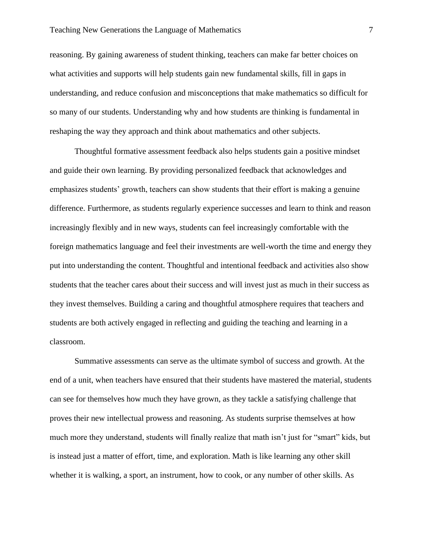reasoning. By gaining awareness of student thinking, teachers can make far better choices on what activities and supports will help students gain new fundamental skills, fill in gaps in understanding, and reduce confusion and misconceptions that make mathematics so difficult for so many of our students. Understanding why and how students are thinking is fundamental in reshaping the way they approach and think about mathematics and other subjects.

Thoughtful formative assessment feedback also helps students gain a positive mindset and guide their own learning. By providing personalized feedback that acknowledges and emphasizes students' growth, teachers can show students that their effort is making a genuine difference. Furthermore, as students regularly experience successes and learn to think and reason increasingly flexibly and in new ways, students can feel increasingly comfortable with the foreign mathematics language and feel their investments are well-worth the time and energy they put into understanding the content. Thoughtful and intentional feedback and activities also show students that the teacher cares about their success and will invest just as much in their success as they invest themselves. Building a caring and thoughtful atmosphere requires that teachers and students are both actively engaged in reflecting and guiding the teaching and learning in a classroom.

Summative assessments can serve as the ultimate symbol of success and growth. At the end of a unit, when teachers have ensured that their students have mastered the material, students can see for themselves how much they have grown, as they tackle a satisfying challenge that proves their new intellectual prowess and reasoning. As students surprise themselves at how much more they understand, students will finally realize that math isn't just for "smart" kids, but is instead just a matter of effort, time, and exploration. Math is like learning any other skill whether it is walking, a sport, an instrument, how to cook, or any number of other skills. As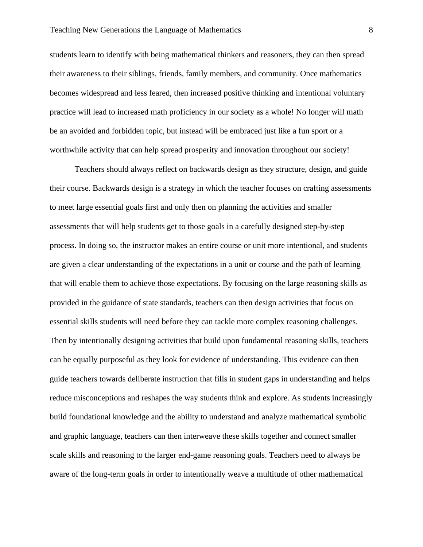students learn to identify with being mathematical thinkers and reasoners, they can then spread their awareness to their siblings, friends, family members, and community. Once mathematics becomes widespread and less feared, then increased positive thinking and intentional voluntary practice will lead to increased math proficiency in our society as a whole! No longer will math be an avoided and forbidden topic, but instead will be embraced just like a fun sport or a worthwhile activity that can help spread prosperity and innovation throughout our society!

Teachers should always reflect on backwards design as they structure, design, and guide their course. Backwards design is a strategy in which the teacher focuses on crafting assessments to meet large essential goals first and only then on planning the activities and smaller assessments that will help students get to those goals in a carefully designed step-by-step process. In doing so, the instructor makes an entire course or unit more intentional, and students are given a clear understanding of the expectations in a unit or course and the path of learning that will enable them to achieve those expectations. By focusing on the large reasoning skills as provided in the guidance of state standards, teachers can then design activities that focus on essential skills students will need before they can tackle more complex reasoning challenges. Then by intentionally designing activities that build upon fundamental reasoning skills, teachers can be equally purposeful as they look for evidence of understanding. This evidence can then guide teachers towards deliberate instruction that fills in student gaps in understanding and helps reduce misconceptions and reshapes the way students think and explore. As students increasingly build foundational knowledge and the ability to understand and analyze mathematical symbolic and graphic language, teachers can then interweave these skills together and connect smaller scale skills and reasoning to the larger end-game reasoning goals. Teachers need to always be aware of the long-term goals in order to intentionally weave a multitude of other mathematical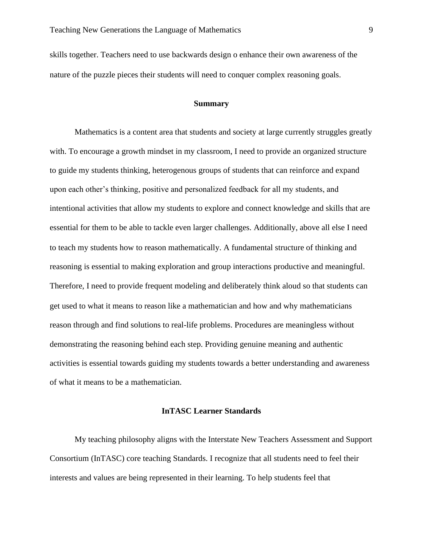skills together. Teachers need to use backwards design o enhance their own awareness of the nature of the puzzle pieces their students will need to conquer complex reasoning goals.

#### **Summary**

Mathematics is a content area that students and society at large currently struggles greatly with. To encourage a growth mindset in my classroom, I need to provide an organized structure to guide my students thinking, heterogenous groups of students that can reinforce and expand upon each other's thinking, positive and personalized feedback for all my students, and intentional activities that allow my students to explore and connect knowledge and skills that are essential for them to be able to tackle even larger challenges. Additionally, above all else I need to teach my students how to reason mathematically. A fundamental structure of thinking and reasoning is essential to making exploration and group interactions productive and meaningful. Therefore, I need to provide frequent modeling and deliberately think aloud so that students can get used to what it means to reason like a mathematician and how and why mathematicians reason through and find solutions to real-life problems. Procedures are meaningless without demonstrating the reasoning behind each step. Providing genuine meaning and authentic activities is essential towards guiding my students towards a better understanding and awareness of what it means to be a mathematician.

## **InTASC Learner Standards**

My teaching philosophy aligns with the Interstate New Teachers Assessment and Support Consortium (InTASC) core teaching Standards. I recognize that all students need to feel their interests and values are being represented in their learning. To help students feel that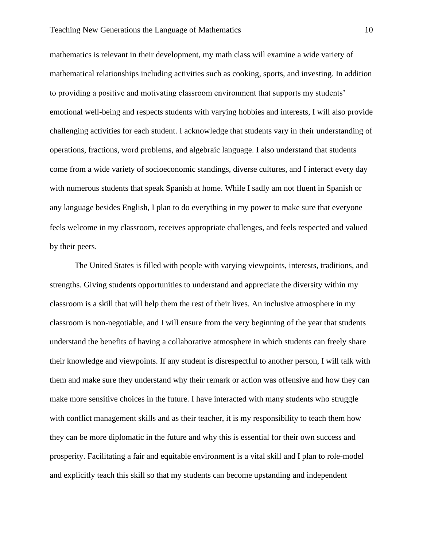#### Teaching New Generations the Language of Mathematics 10

mathematics is relevant in their development, my math class will examine a wide variety of mathematical relationships including activities such as cooking, sports, and investing. In addition to providing a positive and motivating classroom environment that supports my students' emotional well-being and respects students with varying hobbies and interests, I will also provide challenging activities for each student. I acknowledge that students vary in their understanding of operations, fractions, word problems, and algebraic language. I also understand that students come from a wide variety of socioeconomic standings, diverse cultures, and I interact every day with numerous students that speak Spanish at home. While I sadly am not fluent in Spanish or any language besides English, I plan to do everything in my power to make sure that everyone feels welcome in my classroom, receives appropriate challenges, and feels respected and valued by their peers.

The United States is filled with people with varying viewpoints, interests, traditions, and strengths. Giving students opportunities to understand and appreciate the diversity within my classroom is a skill that will help them the rest of their lives. An inclusive atmosphere in my classroom is non-negotiable, and I will ensure from the very beginning of the year that students understand the benefits of having a collaborative atmosphere in which students can freely share their knowledge and viewpoints. If any student is disrespectful to another person, I will talk with them and make sure they understand why their remark or action was offensive and how they can make more sensitive choices in the future. I have interacted with many students who struggle with conflict management skills and as their teacher, it is my responsibility to teach them how they can be more diplomatic in the future and why this is essential for their own success and prosperity. Facilitating a fair and equitable environment is a vital skill and I plan to role-model and explicitly teach this skill so that my students can become upstanding and independent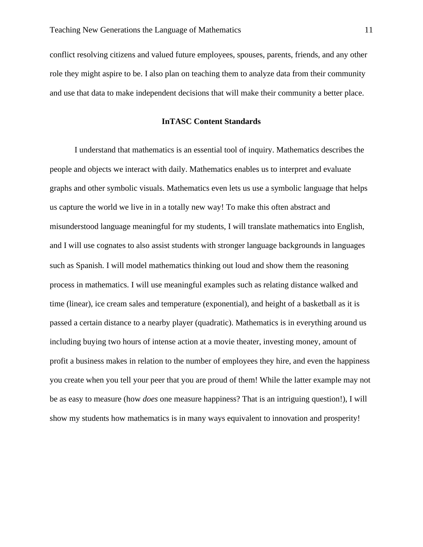conflict resolving citizens and valued future employees, spouses, parents, friends, and any other role they might aspire to be. I also plan on teaching them to analyze data from their community and use that data to make independent decisions that will make their community a better place.

## **InTASC Content Standards**

I understand that mathematics is an essential tool of inquiry. Mathematics describes the people and objects we interact with daily. Mathematics enables us to interpret and evaluate graphs and other symbolic visuals. Mathematics even lets us use a symbolic language that helps us capture the world we live in in a totally new way! To make this often abstract and misunderstood language meaningful for my students, I will translate mathematics into English, and I will use cognates to also assist students with stronger language backgrounds in languages such as Spanish. I will model mathematics thinking out loud and show them the reasoning process in mathematics. I will use meaningful examples such as relating distance walked and time (linear), ice cream sales and temperature (exponential), and height of a basketball as it is passed a certain distance to a nearby player (quadratic). Mathematics is in everything around us including buying two hours of intense action at a movie theater, investing money, amount of profit a business makes in relation to the number of employees they hire, and even the happiness you create when you tell your peer that you are proud of them! While the latter example may not be as easy to measure (how *does* one measure happiness? That is an intriguing question!), I will show my students how mathematics is in many ways equivalent to innovation and prosperity!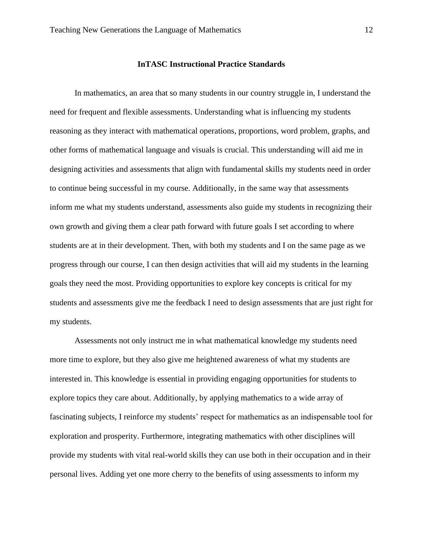#### **InTASC Instructional Practice Standards**

In mathematics, an area that so many students in our country struggle in, I understand the need for frequent and flexible assessments. Understanding what is influencing my students reasoning as they interact with mathematical operations, proportions, word problem, graphs, and other forms of mathematical language and visuals is crucial. This understanding will aid me in designing activities and assessments that align with fundamental skills my students need in order to continue being successful in my course. Additionally, in the same way that assessments inform me what my students understand, assessments also guide my students in recognizing their own growth and giving them a clear path forward with future goals I set according to where students are at in their development. Then, with both my students and I on the same page as we progress through our course, I can then design activities that will aid my students in the learning goals they need the most. Providing opportunities to explore key concepts is critical for my students and assessments give me the feedback I need to design assessments that are just right for my students.

Assessments not only instruct me in what mathematical knowledge my students need more time to explore, but they also give me heightened awareness of what my students are interested in. This knowledge is essential in providing engaging opportunities for students to explore topics they care about. Additionally, by applying mathematics to a wide array of fascinating subjects, I reinforce my students' respect for mathematics as an indispensable tool for exploration and prosperity. Furthermore, integrating mathematics with other disciplines will provide my students with vital real-world skills they can use both in their occupation and in their personal lives. Adding yet one more cherry to the benefits of using assessments to inform my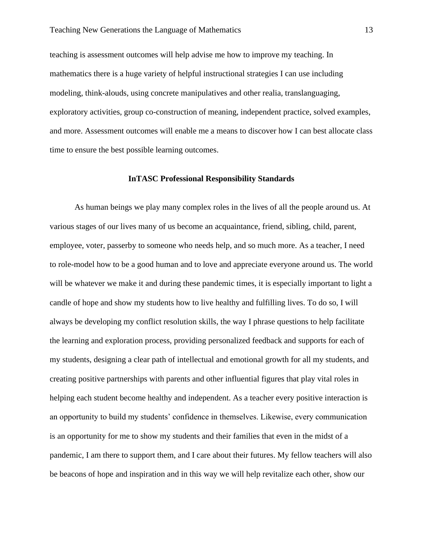teaching is assessment outcomes will help advise me how to improve my teaching. In mathematics there is a huge variety of helpful instructional strategies I can use including modeling, think-alouds, using concrete manipulatives and other realia, translanguaging, exploratory activities, group co-construction of meaning, independent practice, solved examples, and more. Assessment outcomes will enable me a means to discover how I can best allocate class time to ensure the best possible learning outcomes.

## **InTASC Professional Responsibility Standards**

As human beings we play many complex roles in the lives of all the people around us. At various stages of our lives many of us become an acquaintance, friend, sibling, child, parent, employee, voter, passerby to someone who needs help, and so much more. As a teacher, I need to role-model how to be a good human and to love and appreciate everyone around us. The world will be whatever we make it and during these pandemic times, it is especially important to light a candle of hope and show my students how to live healthy and fulfilling lives. To do so, I will always be developing my conflict resolution skills, the way I phrase questions to help facilitate the learning and exploration process, providing personalized feedback and supports for each of my students, designing a clear path of intellectual and emotional growth for all my students, and creating positive partnerships with parents and other influential figures that play vital roles in helping each student become healthy and independent. As a teacher every positive interaction is an opportunity to build my students' confidence in themselves. Likewise, every communication is an opportunity for me to show my students and their families that even in the midst of a pandemic, I am there to support them, and I care about their futures. My fellow teachers will also be beacons of hope and inspiration and in this way we will help revitalize each other, show our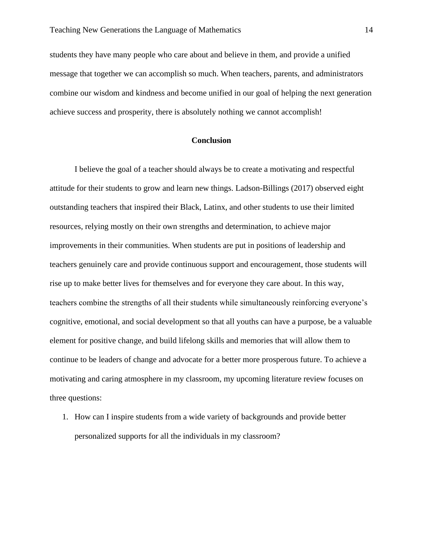students they have many people who care about and believe in them, and provide a unified message that together we can accomplish so much. When teachers, parents, and administrators combine our wisdom and kindness and become unified in our goal of helping the next generation achieve success and prosperity, there is absolutely nothing we cannot accomplish!

## **Conclusion**

I believe the goal of a teacher should always be to create a motivating and respectful attitude for their students to grow and learn new things. Ladson-Billings (2017) observed eight outstanding teachers that inspired their Black, Latinx, and other students to use their limited resources, relying mostly on their own strengths and determination, to achieve major improvements in their communities. When students are put in positions of leadership and teachers genuinely care and provide continuous support and encouragement, those students will rise up to make better lives for themselves and for everyone they care about. In this way, teachers combine the strengths of all their students while simultaneously reinforcing everyone's cognitive, emotional, and social development so that all youths can have a purpose, be a valuable element for positive change, and build lifelong skills and memories that will allow them to continue to be leaders of change and advocate for a better more prosperous future. To achieve a motivating and caring atmosphere in my classroom, my upcoming literature review focuses on three questions:

1. How can I inspire students from a wide variety of backgrounds and provide better personalized supports for all the individuals in my classroom?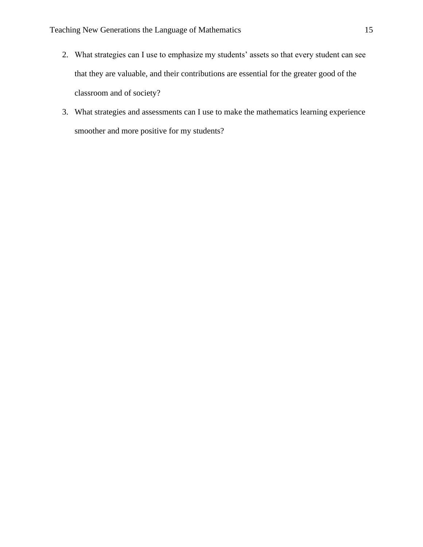- 2. What strategies can I use to emphasize my students' assets so that every student can see that they are valuable, and their contributions are essential for the greater good of the classroom and of society?
- 3. What strategies and assessments can I use to make the mathematics learning experience smoother and more positive for my students?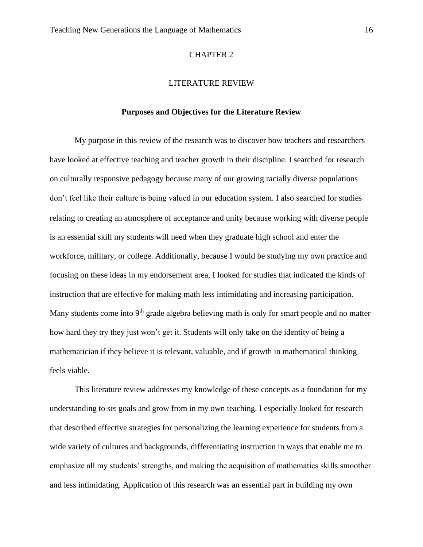#### CHAPTER 2

#### LITERATURE REVIEW

#### **Purposes and Objectives for the Literature Review**

My purpose in this review of the research was to discover how teachers and researchers have looked at effective teaching and teacher growth in their discipline. I searched for research on culturally responsive pedagogy because many of our growing racially diverse populations don't feel like their culture is being valued in our education system. I also searched for studies relating to creating an atmosphere of acceptance and unity because working with diverse people is an essential skill my students will need when they graduate high school and enter the workforce, military, or college. Additionally, because I would be studying my own practice and focusing on these ideas in my endorsement area, I looked for studies that indicated the kinds of instruction that are effective for making math less intimidating and increasing participation*.*  Many students come into  $9<sup>th</sup>$  grade algebra believing math is only for smart people and no matter how hard they try they just won't get it. Students will only take on the identity of being a mathematician if they believe it is relevant, valuable, and if growth in mathematical thinking feels viable.

This literature review addresses my knowledge of these concepts as a foundation for my understanding to set goals and grow from in my own teaching. I especially looked for research that described effective strategies for personalizing the learning experience for students from a wide variety of cultures and backgrounds, differentiating instruction in ways that enable me to emphasize all my students' strengths, and making the acquisition of mathematics skills smoother and less intimidating. Application of this research was an essential part in building my own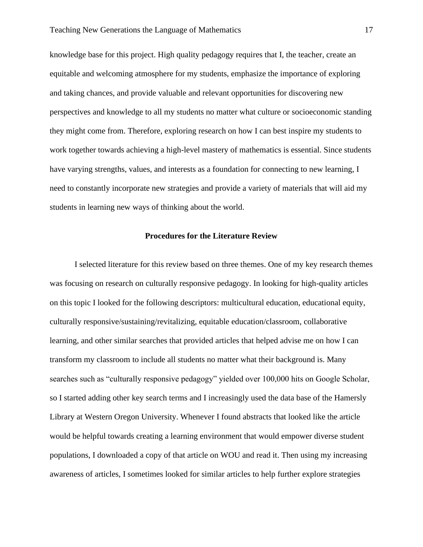knowledge base for this project. High quality pedagogy requires that I, the teacher, create an equitable and welcoming atmosphere for my students, emphasize the importance of exploring and taking chances, and provide valuable and relevant opportunities for discovering new perspectives and knowledge to all my students no matter what culture or socioeconomic standing they might come from. Therefore, exploring research on how I can best inspire my students to work together towards achieving a high-level mastery of mathematics is essential. Since students have varying strengths, values, and interests as a foundation for connecting to new learning, I need to constantly incorporate new strategies and provide a variety of materials that will aid my students in learning new ways of thinking about the world.

#### **Procedures for the Literature Review**

I selected literature for this review based on three themes. One of my key research themes was focusing on research on culturally responsive pedagogy. In looking for high-quality articles on this topic I looked for the following descriptors: multicultural education, educational equity, culturally responsive/sustaining/revitalizing, equitable education/classroom, collaborative learning, and other similar searches that provided articles that helped advise me on how I can transform my classroom to include all students no matter what their background is. Many searches such as "culturally responsive pedagogy" yielded over 100,000 hits on Google Scholar, so I started adding other key search terms and I increasingly used the data base of the Hamersly Library at Western Oregon University. Whenever I found abstracts that looked like the article would be helpful towards creating a learning environment that would empower diverse student populations, I downloaded a copy of that article on WOU and read it. Then using my increasing awareness of articles, I sometimes looked for similar articles to help further explore strategies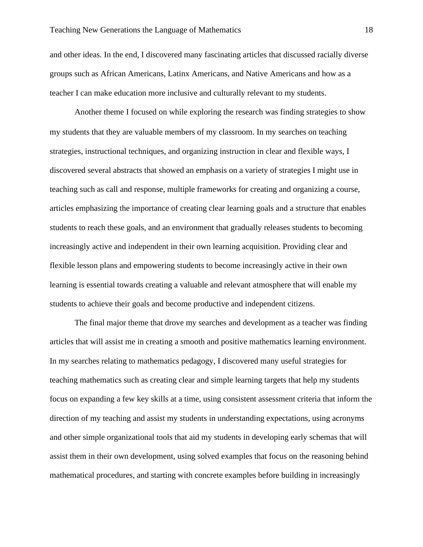and other ideas. In the end, I discovered many fascinating articles that discussed racially diverse groups such as African Americans, Latinx Americans, and Native Americans and how as a teacher I can make education more inclusive and culturally relevant to my students.

Another theme I focused on while exploring the research was finding strategies to show my students that they are valuable members of my classroom. In my searches on teaching strategies, instructional techniques, and organizing instruction in clear and flexible ways, I discovered several abstracts that showed an emphasis on a variety of strategies I might use in teaching such as call and response, multiple frameworks for creating and organizing a course, articles emphasizing the importance of creating clear learning goals and a structure that enables students to reach these goals, and an environment that gradually releases students to becoming increasingly active and independent in their own learning acquisition. Providing clear and flexible lesson plans and empowering students to become increasingly active in their own learning is essential towards creating a valuable and relevant atmosphere that will enable my students to achieve their goals and become productive and independent citizens.

The final major theme that drove my searches and development as a teacher was finding articles that will assist me in creating a smooth and positive mathematics learning environment. In my searches relating to mathematics pedagogy, I discovered many useful strategies for teaching mathematics such as creating clear and simple learning targets that help my students focus on expanding a few key skills at a time, using consistent assessment criteria that inform the direction of my teaching and assist my students in understanding expectations, using acronyms and other simple organizational tools that aid my students in developing early schemas that will assist them in their own development, using solved examples that focus on the reasoning behind mathematical procedures, and starting with concrete examples before building in increasingly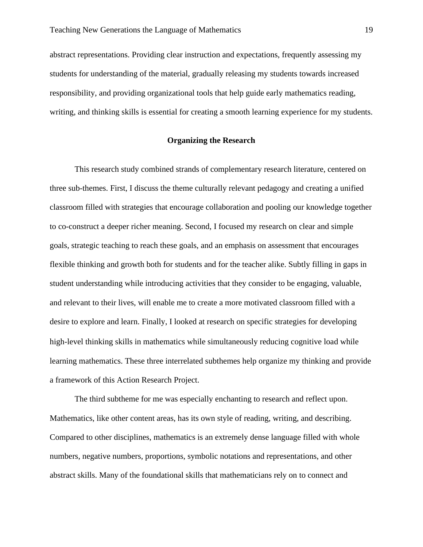abstract representations. Providing clear instruction and expectations, frequently assessing my students for understanding of the material, gradually releasing my students towards increased responsibility, and providing organizational tools that help guide early mathematics reading, writing, and thinking skills is essential for creating a smooth learning experience for my students.

## **Organizing the Research**

This research study combined strands of complementary research literature, centered on three sub-themes. First, I discuss the theme culturally relevant pedagogy and creating a unified classroom filled with strategies that encourage collaboration and pooling our knowledge together to co-construct a deeper richer meaning. Second, I focused my research on clear and simple goals, strategic teaching to reach these goals, and an emphasis on assessment that encourages flexible thinking and growth both for students and for the teacher alike. Subtly filling in gaps in student understanding while introducing activities that they consider to be engaging, valuable, and relevant to their lives, will enable me to create a more motivated classroom filled with a desire to explore and learn. Finally, I looked at research on specific strategies for developing high-level thinking skills in mathematics while simultaneously reducing cognitive load while learning mathematics. These three interrelated subthemes help organize my thinking and provide a framework of this Action Research Project.

The third subtheme for me was especially enchanting to research and reflect upon. Mathematics, like other content areas, has its own style of reading, writing, and describing. Compared to other disciplines, mathematics is an extremely dense language filled with whole numbers, negative numbers, proportions, symbolic notations and representations, and other abstract skills. Many of the foundational skills that mathematicians rely on to connect and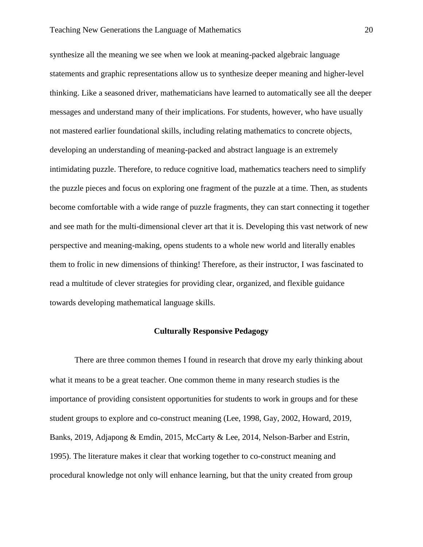synthesize all the meaning we see when we look at meaning-packed algebraic language statements and graphic representations allow us to synthesize deeper meaning and higher-level thinking. Like a seasoned driver, mathematicians have learned to automatically see all the deeper messages and understand many of their implications. For students, however, who have usually not mastered earlier foundational skills, including relating mathematics to concrete objects, developing an understanding of meaning-packed and abstract language is an extremely intimidating puzzle. Therefore, to reduce cognitive load, mathematics teachers need to simplify the puzzle pieces and focus on exploring one fragment of the puzzle at a time. Then, as students become comfortable with a wide range of puzzle fragments, they can start connecting it together and see math for the multi-dimensional clever art that it is. Developing this vast network of new perspective and meaning-making, opens students to a whole new world and literally enables them to frolic in new dimensions of thinking! Therefore, as their instructor, I was fascinated to read a multitude of clever strategies for providing clear, organized, and flexible guidance towards developing mathematical language skills.

## **Culturally Responsive Pedagogy**

There are three common themes I found in research that drove my early thinking about what it means to be a great teacher. One common theme in many research studies is the importance of providing consistent opportunities for students to work in groups and for these student groups to explore and co-construct meaning (Lee, 1998, Gay, 2002, Howard, 2019, Banks, 2019, Adjapong & Emdin, 2015, McCarty & Lee, 2014, Nelson-Barber and Estrin, 1995). The literature makes it clear that working together to co-construct meaning and procedural knowledge not only will enhance learning, but that the unity created from group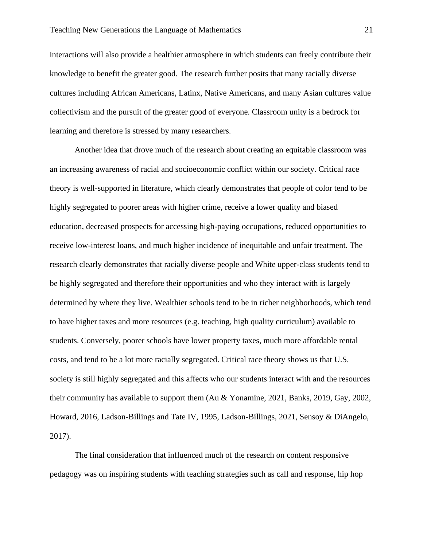interactions will also provide a healthier atmosphere in which students can freely contribute their knowledge to benefit the greater good. The research further posits that many racially diverse cultures including African Americans, Latinx, Native Americans, and many Asian cultures value collectivism and the pursuit of the greater good of everyone. Classroom unity is a bedrock for learning and therefore is stressed by many researchers.

Another idea that drove much of the research about creating an equitable classroom was an increasing awareness of racial and socioeconomic conflict within our society. Critical race theory is well-supported in literature, which clearly demonstrates that people of color tend to be highly segregated to poorer areas with higher crime, receive a lower quality and biased education, decreased prospects for accessing high-paying occupations, reduced opportunities to receive low-interest loans, and much higher incidence of inequitable and unfair treatment. The research clearly demonstrates that racially diverse people and White upper-class students tend to be highly segregated and therefore their opportunities and who they interact with is largely determined by where they live. Wealthier schools tend to be in richer neighborhoods, which tend to have higher taxes and more resources (e.g. teaching, high quality curriculum) available to students. Conversely, poorer schools have lower property taxes, much more affordable rental costs, and tend to be a lot more racially segregated. Critical race theory shows us that U.S. society is still highly segregated and this affects who our students interact with and the resources their community has available to support them (Au & Yonamine, 2021, Banks, 2019, Gay, 2002, Howard, 2016, Ladson-Billings and Tate IV, 1995, Ladson-Billings, 2021, Sensoy & DiAngelo, 2017).

The final consideration that influenced much of the research on content responsive pedagogy was on inspiring students with teaching strategies such as call and response, hip hop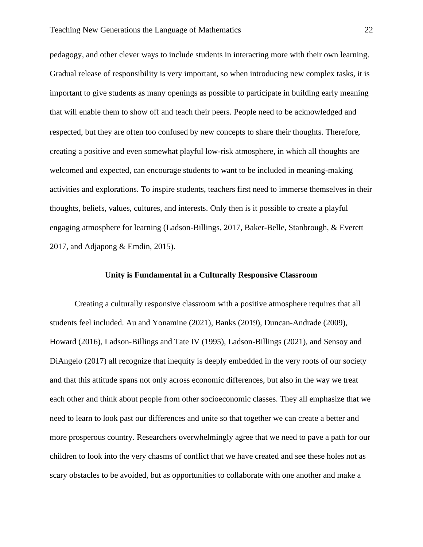pedagogy, and other clever ways to include students in interacting more with their own learning. Gradual release of responsibility is very important, so when introducing new complex tasks, it is important to give students as many openings as possible to participate in building early meaning that will enable them to show off and teach their peers. People need to be acknowledged and respected, but they are often too confused by new concepts to share their thoughts. Therefore, creating a positive and even somewhat playful low-risk atmosphere, in which all thoughts are welcomed and expected, can encourage students to want to be included in meaning-making activities and explorations. To inspire students, teachers first need to immerse themselves in their thoughts, beliefs, values, cultures, and interests. Only then is it possible to create a playful engaging atmosphere for learning (Ladson-Billings, 2017, Baker-Belle, Stanbrough, & Everett 2017, and Adjapong & Emdin, 2015).

## **Unity is Fundamental in a Culturally Responsive Classroom**

Creating a culturally responsive classroom with a positive atmosphere requires that all students feel included. Au and Yonamine (2021), Banks (2019), Duncan-Andrade (2009), Howard (2016), Ladson-Billings and Tate IV (1995), Ladson-Billings (2021), and Sensoy and DiAngelo (2017) all recognize that inequity is deeply embedded in the very roots of our society and that this attitude spans not only across economic differences, but also in the way we treat each other and think about people from other socioeconomic classes. They all emphasize that we need to learn to look past our differences and unite so that together we can create a better and more prosperous country. Researchers overwhelmingly agree that we need to pave a path for our children to look into the very chasms of conflict that we have created and see these holes not as scary obstacles to be avoided, but as opportunities to collaborate with one another and make a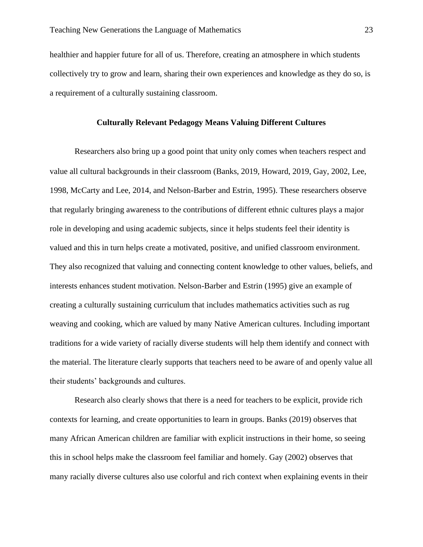healthier and happier future for all of us. Therefore, creating an atmosphere in which students collectively try to grow and learn, sharing their own experiences and knowledge as they do so, is a requirement of a culturally sustaining classroom.

#### **Culturally Relevant Pedagogy Means Valuing Different Cultures**

Researchers also bring up a good point that unity only comes when teachers respect and value all cultural backgrounds in their classroom (Banks, 2019, Howard, 2019, Gay, 2002, Lee, 1998, McCarty and Lee, 2014, and Nelson-Barber and Estrin, 1995). These researchers observe that regularly bringing awareness to the contributions of different ethnic cultures plays a major role in developing and using academic subjects, since it helps students feel their identity is valued and this in turn helps create a motivated, positive, and unified classroom environment. They also recognized that valuing and connecting content knowledge to other values, beliefs, and interests enhances student motivation. Nelson-Barber and Estrin (1995) give an example of creating a culturally sustaining curriculum that includes mathematics activities such as rug weaving and cooking, which are valued by many Native American cultures. Including important traditions for a wide variety of racially diverse students will help them identify and connect with the material. The literature clearly supports that teachers need to be aware of and openly value all their students' backgrounds and cultures.

Research also clearly shows that there is a need for teachers to be explicit, provide rich contexts for learning, and create opportunities to learn in groups. Banks (2019) observes that many African American children are familiar with explicit instructions in their home, so seeing this in school helps make the classroom feel familiar and homely. Gay (2002) observes that many racially diverse cultures also use colorful and rich context when explaining events in their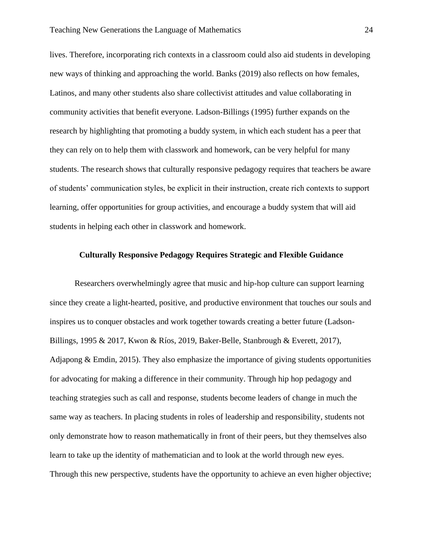lives. Therefore, incorporating rich contexts in a classroom could also aid students in developing new ways of thinking and approaching the world. Banks (2019) also reflects on how females, Latinos, and many other students also share collectivist attitudes and value collaborating in community activities that benefit everyone. Ladson-Billings (1995) further expands on the research by highlighting that promoting a buddy system, in which each student has a peer that they can rely on to help them with classwork and homework, can be very helpful for many students. The research shows that culturally responsive pedagogy requires that teachers be aware of students' communication styles, be explicit in their instruction, create rich contexts to support learning, offer opportunities for group activities, and encourage a buddy system that will aid students in helping each other in classwork and homework.

## **Culturally Responsive Pedagogy Requires Strategic and Flexible Guidance**

Researchers overwhelmingly agree that music and hip-hop culture can support learning since they create a light-hearted, positive, and productive environment that touches our souls and inspires us to conquer obstacles and work together towards creating a better future (Ladson-Billings, 1995 & 2017, Kwon & Ríos, 2019, Baker-Belle, Stanbrough & Everett, 2017), Adjapong & Emdin, 2015). They also emphasize the importance of giving students opportunities for advocating for making a difference in their community. Through hip hop pedagogy and teaching strategies such as call and response, students become leaders of change in much the same way as teachers. In placing students in roles of leadership and responsibility, students not only demonstrate how to reason mathematically in front of their peers, but they themselves also learn to take up the identity of mathematician and to look at the world through new eyes. Through this new perspective, students have the opportunity to achieve an even higher objective;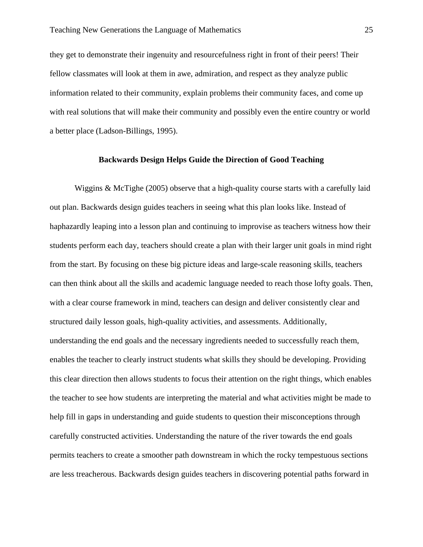they get to demonstrate their ingenuity and resourcefulness right in front of their peers! Their fellow classmates will look at them in awe, admiration, and respect as they analyze public information related to their community, explain problems their community faces, and come up with real solutions that will make their community and possibly even the entire country or world a better place (Ladson-Billings, 1995).

## **Backwards Design Helps Guide the Direction of Good Teaching**

Wiggins  $\&$  McTighe (2005) observe that a high-quality course starts with a carefully laid out plan. Backwards design guides teachers in seeing what this plan looks like. Instead of haphazardly leaping into a lesson plan and continuing to improvise as teachers witness how their students perform each day, teachers should create a plan with their larger unit goals in mind right from the start. By focusing on these big picture ideas and large-scale reasoning skills, teachers can then think about all the skills and academic language needed to reach those lofty goals. Then, with a clear course framework in mind, teachers can design and deliver consistently clear and structured daily lesson goals, high-quality activities, and assessments. Additionally, understanding the end goals and the necessary ingredients needed to successfully reach them, enables the teacher to clearly instruct students what skills they should be developing. Providing this clear direction then allows students to focus their attention on the right things, which enables the teacher to see how students are interpreting the material and what activities might be made to help fill in gaps in understanding and guide students to question their misconceptions through carefully constructed activities. Understanding the nature of the river towards the end goals permits teachers to create a smoother path downstream in which the rocky tempestuous sections are less treacherous. Backwards design guides teachers in discovering potential paths forward in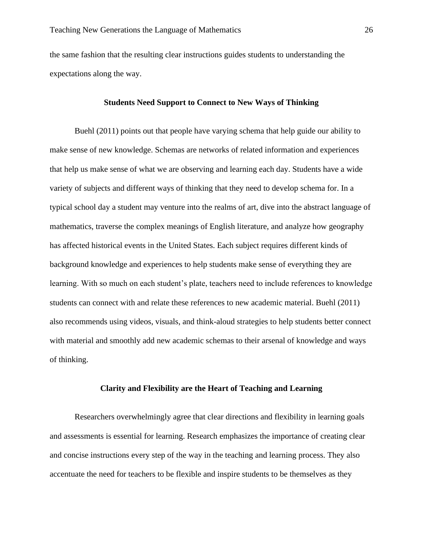the same fashion that the resulting clear instructions guides students to understanding the expectations along the way.

#### **Students Need Support to Connect to New Ways of Thinking**

Buehl (2011) points out that people have varying schema that help guide our ability to make sense of new knowledge. Schemas are networks of related information and experiences that help us make sense of what we are observing and learning each day. Students have a wide variety of subjects and different ways of thinking that they need to develop schema for. In a typical school day a student may venture into the realms of art, dive into the abstract language of mathematics, traverse the complex meanings of English literature, and analyze how geography has affected historical events in the United States. Each subject requires different kinds of background knowledge and experiences to help students make sense of everything they are learning. With so much on each student's plate, teachers need to include references to knowledge students can connect with and relate these references to new academic material. Buehl (2011) also recommends using videos, visuals, and think-aloud strategies to help students better connect with material and smoothly add new academic schemas to their arsenal of knowledge and ways of thinking.

#### **Clarity and Flexibility are the Heart of Teaching and Learning**

Researchers overwhelmingly agree that clear directions and flexibility in learning goals and assessments is essential for learning. Research emphasizes the importance of creating clear and concise instructions every step of the way in the teaching and learning process. They also accentuate the need for teachers to be flexible and inspire students to be themselves as they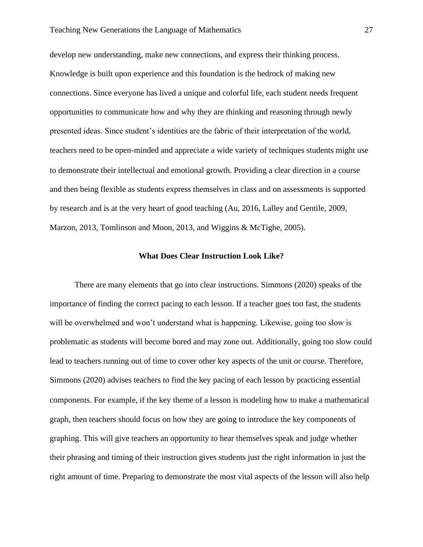develop new understanding, make new connections, and express their thinking process. Knowledge is built upon experience and this foundation is the bedrock of making new connections. Since everyone has lived a unique and colorful life, each student needs frequent opportunities to communicate how and why they are thinking and reasoning through newly presented ideas. Since student's identities are the fabric of their interpretation of the world, teachers need to be open-minded and appreciate a wide variety of techniques students might use to demonstrate their intellectual and emotional growth. Providing a clear direction in a course and then being flexible as students express themselves in class and on assessments is supported by research and is at the very heart of good teaching (Au, 2016, Lalley and Gentile, 2009, Marzon, 2013, Tomlinson and Moon, 2013, and Wiggins & McTighe, 2005).

## **What Does Clear Instruction Look Like?**

There are many elements that go into clear instructions. Simmons (2020) speaks of the importance of finding the correct pacing to each lesson. If a teacher goes too fast, the students will be overwhelmed and won't understand what is happening. Likewise, going too slow is problematic as students will become bored and may zone out. Additionally, going too slow could lead to teachers running out of time to cover other key aspects of the unit or course. Therefore, Simmons (2020) advises teachers to find the key pacing of each lesson by practicing essential components. For example, if the key theme of a lesson is modeling how to make a mathematical graph, then teachers should focus on how they are going to introduce the key components of graphing. This will give teachers an opportunity to hear themselves speak and judge whether their phrasing and timing of their instruction gives students just the right information in just the right amount of time. Preparing to demonstrate the most vital aspects of the lesson will also help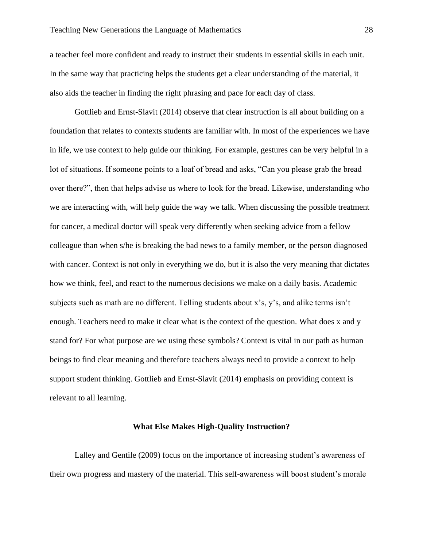a teacher feel more confident and ready to instruct their students in essential skills in each unit. In the same way that practicing helps the students get a clear understanding of the material, it also aids the teacher in finding the right phrasing and pace for each day of class.

Gottlieb and Ernst-Slavit (2014) observe that clear instruction is all about building on a foundation that relates to contexts students are familiar with. In most of the experiences we have in life, we use context to help guide our thinking. For example, gestures can be very helpful in a lot of situations. If someone points to a loaf of bread and asks, "Can you please grab the bread over there?", then that helps advise us where to look for the bread. Likewise, understanding who we are interacting with, will help guide the way we talk. When discussing the possible treatment for cancer, a medical doctor will speak very differently when seeking advice from a fellow colleague than when s/he is breaking the bad news to a family member, or the person diagnosed with cancer. Context is not only in everything we do, but it is also the very meaning that dictates how we think, feel, and react to the numerous decisions we make on a daily basis. Academic subjects such as math are no different. Telling students about x's, y's, and alike terms isn't enough. Teachers need to make it clear what is the context of the question. What does x and y stand for? For what purpose are we using these symbols? Context is vital in our path as human beings to find clear meaning and therefore teachers always need to provide a context to help support student thinking. Gottlieb and Ernst-Slavit (2014) emphasis on providing context is relevant to all learning.

#### **What Else Makes High-Quality Instruction?**

Lalley and Gentile (2009) focus on the importance of increasing student's awareness of their own progress and mastery of the material. This self-awareness will boost student's morale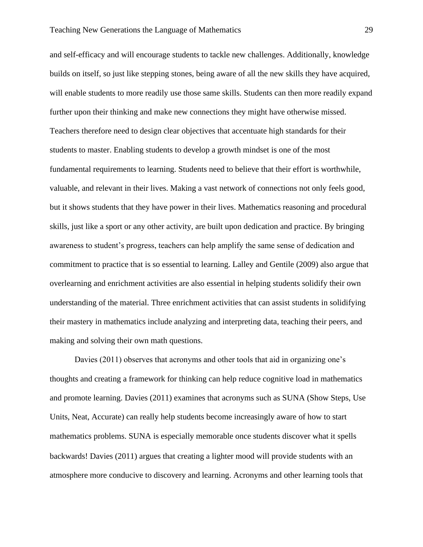and self-efficacy and will encourage students to tackle new challenges. Additionally, knowledge builds on itself, so just like stepping stones, being aware of all the new skills they have acquired, will enable students to more readily use those same skills. Students can then more readily expand further upon their thinking and make new connections they might have otherwise missed. Teachers therefore need to design clear objectives that accentuate high standards for their students to master. Enabling students to develop a growth mindset is one of the most fundamental requirements to learning. Students need to believe that their effort is worthwhile, valuable, and relevant in their lives. Making a vast network of connections not only feels good, but it shows students that they have power in their lives. Mathematics reasoning and procedural skills, just like a sport or any other activity, are built upon dedication and practice. By bringing awareness to student's progress, teachers can help amplify the same sense of dedication and commitment to practice that is so essential to learning. Lalley and Gentile (2009) also argue that overlearning and enrichment activities are also essential in helping students solidify their own understanding of the material. Three enrichment activities that can assist students in solidifying their mastery in mathematics include analyzing and interpreting data, teaching their peers, and making and solving their own math questions.

Davies (2011) observes that acronyms and other tools that aid in organizing one's thoughts and creating a framework for thinking can help reduce cognitive load in mathematics and promote learning. Davies (2011) examines that acronyms such as SUNA (Show Steps, Use Units, Neat, Accurate) can really help students become increasingly aware of how to start mathematics problems. SUNA is especially memorable once students discover what it spells backwards! Davies (2011) argues that creating a lighter mood will provide students with an atmosphere more conducive to discovery and learning. Acronyms and other learning tools that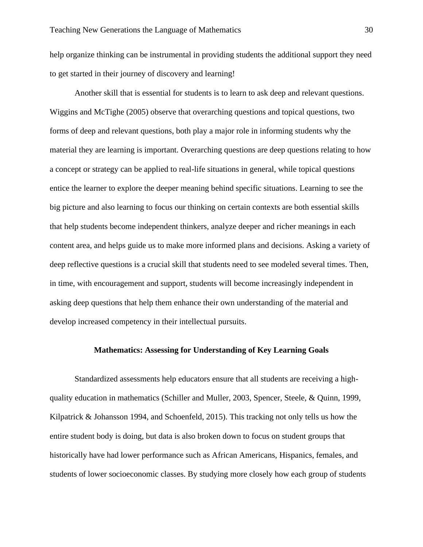help organize thinking can be instrumental in providing students the additional support they need to get started in their journey of discovery and learning!

Another skill that is essential for students is to learn to ask deep and relevant questions. Wiggins and McTighe (2005) observe that overarching questions and topical questions, two forms of deep and relevant questions, both play a major role in informing students why the material they are learning is important. Overarching questions are deep questions relating to how a concept or strategy can be applied to real-life situations in general, while topical questions entice the learner to explore the deeper meaning behind specific situations. Learning to see the big picture and also learning to focus our thinking on certain contexts are both essential skills that help students become independent thinkers, analyze deeper and richer meanings in each content area, and helps guide us to make more informed plans and decisions. Asking a variety of deep reflective questions is a crucial skill that students need to see modeled several times. Then, in time, with encouragement and support, students will become increasingly independent in asking deep questions that help them enhance their own understanding of the material and develop increased competency in their intellectual pursuits.

# **Mathematics: Assessing for Understanding of Key Learning Goals**

Standardized assessments help educators ensure that all students are receiving a highquality education in mathematics (Schiller and Muller, 2003, Spencer, Steele, & Quinn, 1999, Kilpatrick & Johansson 1994, and Schoenfeld, 2015). This tracking not only tells us how the entire student body is doing, but data is also broken down to focus on student groups that historically have had lower performance such as African Americans, Hispanics, females, and students of lower socioeconomic classes. By studying more closely how each group of students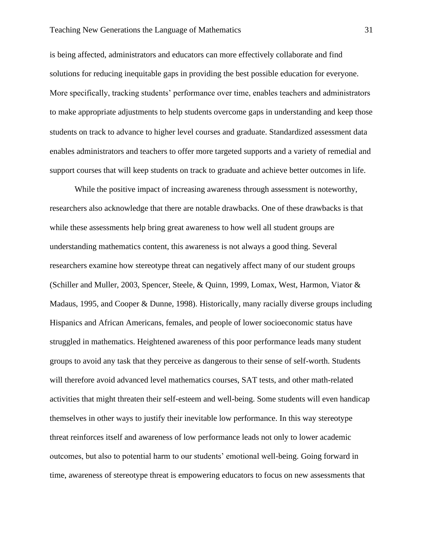is being affected, administrators and educators can more effectively collaborate and find solutions for reducing inequitable gaps in providing the best possible education for everyone. More specifically, tracking students' performance over time, enables teachers and administrators to make appropriate adjustments to help students overcome gaps in understanding and keep those students on track to advance to higher level courses and graduate. Standardized assessment data enables administrators and teachers to offer more targeted supports and a variety of remedial and support courses that will keep students on track to graduate and achieve better outcomes in life.

While the positive impact of increasing awareness through assessment is noteworthy, researchers also acknowledge that there are notable drawbacks. One of these drawbacks is that while these assessments help bring great awareness to how well all student groups are understanding mathematics content, this awareness is not always a good thing. Several researchers examine how stereotype threat can negatively affect many of our student groups (Schiller and Muller, 2003, Spencer, Steele, & Quinn, 1999, Lomax, West, Harmon, Viator & Madaus, 1995, and Cooper & Dunne, 1998). Historically, many racially diverse groups including Hispanics and African Americans, females, and people of lower socioeconomic status have struggled in mathematics. Heightened awareness of this poor performance leads many student groups to avoid any task that they perceive as dangerous to their sense of self-worth. Students will therefore avoid advanced level mathematics courses, SAT tests, and other math-related activities that might threaten their self-esteem and well-being. Some students will even handicap themselves in other ways to justify their inevitable low performance. In this way stereotype threat reinforces itself and awareness of low performance leads not only to lower academic outcomes, but also to potential harm to our students' emotional well-being. Going forward in time, awareness of stereotype threat is empowering educators to focus on new assessments that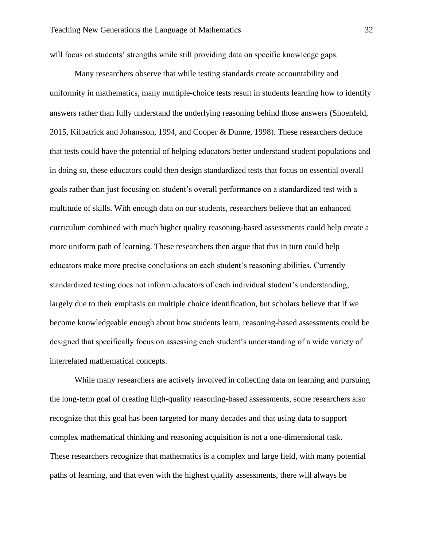will focus on students' strengths while still providing data on specific knowledge gaps.

Many researchers observe that while testing standards create accountability and uniformity in mathematics, many multiple-choice tests result in students learning how to identify answers rather than fully understand the underlying reasoning behind those answers (Shoenfeld, 2015, Kilpatrick and Johansson, 1994, and Cooper & Dunne, 1998). These researchers deduce that tests could have the potential of helping educators better understand student populations and in doing so, these educators could then design standardized tests that focus on essential overall goals rather than just focusing on student's overall performance on a standardized test with a multitude of skills. With enough data on our students, researchers believe that an enhanced curriculum combined with much higher quality reasoning-based assessments could help create a more uniform path of learning. These researchers then argue that this in turn could help educators make more precise conclusions on each student's reasoning abilities. Currently standardized testing does not inform educators of each individual student's understanding, largely due to their emphasis on multiple choice identification, but scholars believe that if we become knowledgeable enough about how students learn, reasoning-based assessments could be designed that specifically focus on assessing each student's understanding of a wide variety of interrelated mathematical concepts.

While many researchers are actively involved in collecting data on learning and pursuing the long-term goal of creating high-quality reasoning-based assessments, some researchers also recognize that this goal has been targeted for many decades and that using data to support complex mathematical thinking and reasoning acquisition is not a one-dimensional task. These researchers recognize that mathematics is a complex and large field, with many potential paths of learning, and that even with the highest quality assessments, there will always be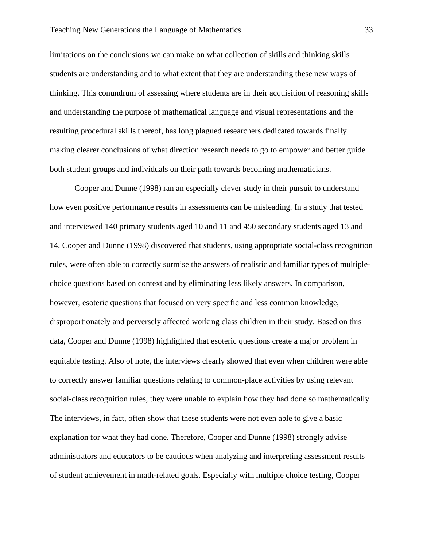limitations on the conclusions we can make on what collection of skills and thinking skills students are understanding and to what extent that they are understanding these new ways of thinking. This conundrum of assessing where students are in their acquisition of reasoning skills and understanding the purpose of mathematical language and visual representations and the resulting procedural skills thereof, has long plagued researchers dedicated towards finally making clearer conclusions of what direction research needs to go to empower and better guide both student groups and individuals on their path towards becoming mathematicians.

Cooper and Dunne (1998) ran an especially clever study in their pursuit to understand how even positive performance results in assessments can be misleading. In a study that tested and interviewed 140 primary students aged 10 and 11 and 450 secondary students aged 13 and 14, Cooper and Dunne (1998) discovered that students, using appropriate social-class recognition rules, were often able to correctly surmise the answers of realistic and familiar types of multiplechoice questions based on context and by eliminating less likely answers. In comparison, however, esoteric questions that focused on very specific and less common knowledge, disproportionately and perversely affected working class children in their study. Based on this data, Cooper and Dunne (1998) highlighted that esoteric questions create a major problem in equitable testing. Also of note, the interviews clearly showed that even when children were able to correctly answer familiar questions relating to common-place activities by using relevant social-class recognition rules, they were unable to explain how they had done so mathematically. The interviews, in fact, often show that these students were not even able to give a basic explanation for what they had done. Therefore, Cooper and Dunne (1998) strongly advise administrators and educators to be cautious when analyzing and interpreting assessment results of student achievement in math-related goals. Especially with multiple choice testing, Cooper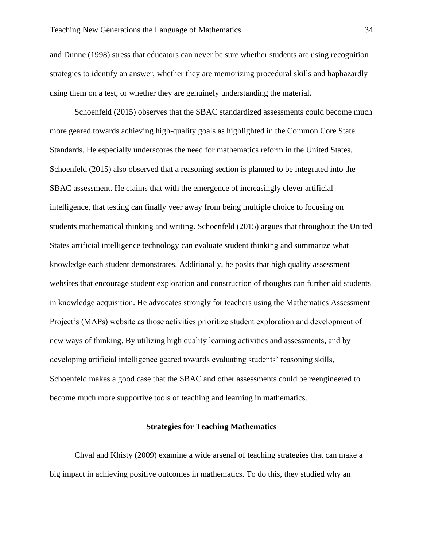and Dunne (1998) stress that educators can never be sure whether students are using recognition strategies to identify an answer, whether they are memorizing procedural skills and haphazardly using them on a test, or whether they are genuinely understanding the material.

Schoenfeld (2015) observes that the SBAC standardized assessments could become much more geared towards achieving high-quality goals as highlighted in the Common Core State Standards. He especially underscores the need for mathematics reform in the United States. Schoenfeld (2015) also observed that a reasoning section is planned to be integrated into the SBAC assessment. He claims that with the emergence of increasingly clever artificial intelligence, that testing can finally veer away from being multiple choice to focusing on students mathematical thinking and writing. Schoenfeld (2015) argues that throughout the United States artificial intelligence technology can evaluate student thinking and summarize what knowledge each student demonstrates. Additionally, he posits that high quality assessment websites that encourage student exploration and construction of thoughts can further aid students in knowledge acquisition. He advocates strongly for teachers using the Mathematics Assessment Project's (MAPs) website as those activities prioritize student exploration and development of new ways of thinking. By utilizing high quality learning activities and assessments, and by developing artificial intelligence geared towards evaluating students' reasoning skills, Schoenfeld makes a good case that the SBAC and other assessments could be reengineered to become much more supportive tools of teaching and learning in mathematics.

### **Strategies for Teaching Mathematics**

Chval and Khisty (2009) examine a wide arsenal of teaching strategies that can make a big impact in achieving positive outcomes in mathematics. To do this, they studied why an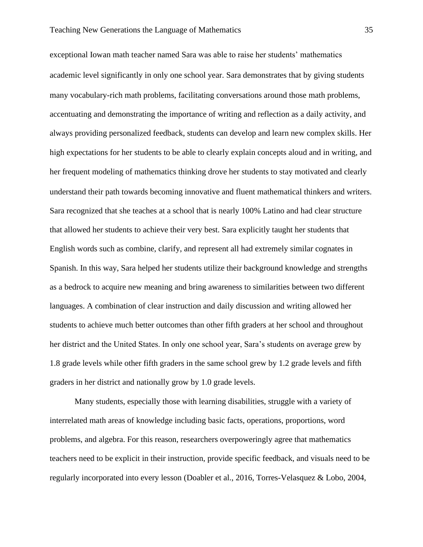exceptional Iowan math teacher named Sara was able to raise her students' mathematics academic level significantly in only one school year. Sara demonstrates that by giving students many vocabulary-rich math problems, facilitating conversations around those math problems, accentuating and demonstrating the importance of writing and reflection as a daily activity, and always providing personalized feedback, students can develop and learn new complex skills. Her high expectations for her students to be able to clearly explain concepts aloud and in writing, and her frequent modeling of mathematics thinking drove her students to stay motivated and clearly understand their path towards becoming innovative and fluent mathematical thinkers and writers. Sara recognized that she teaches at a school that is nearly 100% Latino and had clear structure that allowed her students to achieve their very best. Sara explicitly taught her students that English words such as combine, clarify, and represent all had extremely similar cognates in Spanish. In this way, Sara helped her students utilize their background knowledge and strengths as a bedrock to acquire new meaning and bring awareness to similarities between two different languages. A combination of clear instruction and daily discussion and writing allowed her students to achieve much better outcomes than other fifth graders at her school and throughout her district and the United States. In only one school year, Sara's students on average grew by 1.8 grade levels while other fifth graders in the same school grew by 1.2 grade levels and fifth graders in her district and nationally grow by 1.0 grade levels.

Many students, especially those with learning disabilities, struggle with a variety of interrelated math areas of knowledge including basic facts, operations, proportions, word problems, and algebra. For this reason, researchers overpoweringly agree that mathematics teachers need to be explicit in their instruction, provide specific feedback, and visuals need to be regularly incorporated into every lesson (Doabler et al., 2016, Torres-Velasquez & Lobo, 2004,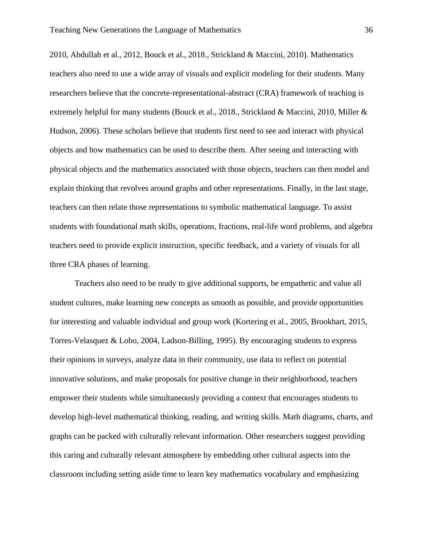2010, Abdullah et al., 2012, Bouck et al., 2018., Strickland & Maccini, 2010). Mathematics teachers also need to use a wide array of visuals and explicit modeling for their students. Many researchers believe that the concrete-representational-abstract (CRA) framework of teaching is extremely helpful for many students (Bouck et al., 2018., Strickland & Maccini, 2010, Miller & Hudson, 2006). These scholars believe that students first need to see and interact with physical objects and how mathematics can be used to describe them. After seeing and interacting with physical objects and the mathematics associated with those objects, teachers can then model and explain thinking that revolves around graphs and other representations. Finally, in the last stage, teachers can then relate those representations to symbolic mathematical language. To assist students with foundational math skills, operations, fractions, real-life word problems, and algebra teachers need to provide explicit instruction, specific feedback, and a variety of visuals for all three CRA phases of learning.

Teachers also need to be ready to give additional supports, be empathetic and value all student cultures, make learning new concepts as smooth as possible, and provide opportunities for interesting and valuable individual and group work (Kortering et al., 2005, Brookhart, 2015, Torres-Velasquez & Lobo, 2004, Ladson-Billing, 1995). By encouraging students to express their opinions in surveys, analyze data in their community, use data to reflect on potential innovative solutions, and make proposals for positive change in their neighborhood, teachers empower their students while simultaneously providing a context that encourages students to develop high-level mathematical thinking, reading, and writing skills. Math diagrams, charts, and graphs can be packed with culturally relevant information. Other researchers suggest providing this caring and culturally relevant atmosphere by embedding other cultural aspects into the classroom including setting aside time to learn key mathematics vocabulary and emphasizing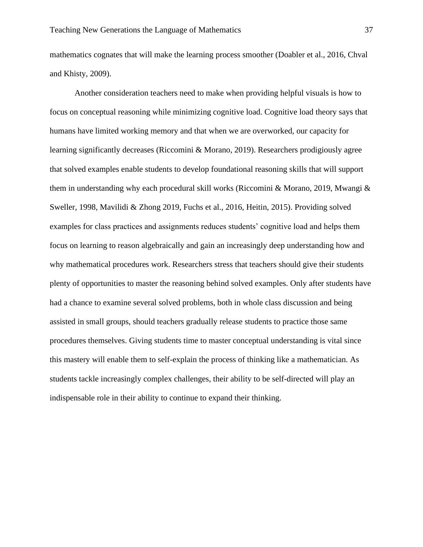mathematics cognates that will make the learning process smoother (Doabler et al., 2016, Chval and Khisty, 2009).

Another consideration teachers need to make when providing helpful visuals is how to focus on conceptual reasoning while minimizing cognitive load. Cognitive load theory says that humans have limited working memory and that when we are overworked, our capacity for learning significantly decreases (Riccomini & Morano, 2019). Researchers prodigiously agree that solved examples enable students to develop foundational reasoning skills that will support them in understanding why each procedural skill works (Riccomini & Morano, 2019, Mwangi & Sweller, 1998, Mavilidi & Zhong 2019, Fuchs et al., 2016, Heitin, 2015). Providing solved examples for class practices and assignments reduces students' cognitive load and helps them focus on learning to reason algebraically and gain an increasingly deep understanding how and why mathematical procedures work. Researchers stress that teachers should give their students plenty of opportunities to master the reasoning behind solved examples. Only after students have had a chance to examine several solved problems, both in whole class discussion and being assisted in small groups, should teachers gradually release students to practice those same procedures themselves. Giving students time to master conceptual understanding is vital since this mastery will enable them to self-explain the process of thinking like a mathematician. As students tackle increasingly complex challenges, their ability to be self-directed will play an indispensable role in their ability to continue to expand their thinking.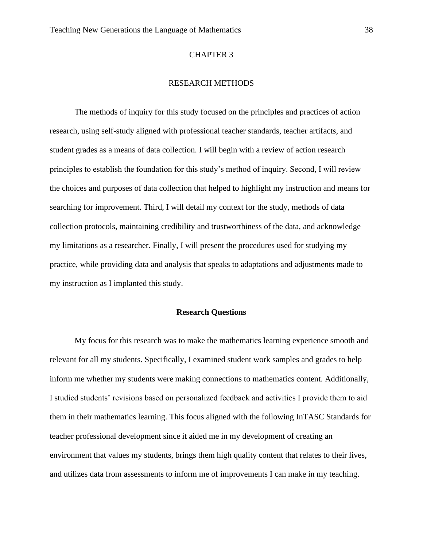#### CHAPTER 3

# RESEARCH METHODS

The methods of inquiry for this study focused on the principles and practices of action research, using self-study aligned with professional teacher standards, teacher artifacts, and student grades as a means of data collection. I will begin with a review of action research principles to establish the foundation for this study's method of inquiry. Second, I will review the choices and purposes of data collection that helped to highlight my instruction and means for searching for improvement. Third, I will detail my context for the study, methods of data collection protocols, maintaining credibility and trustworthiness of the data, and acknowledge my limitations as a researcher. Finally, I will present the procedures used for studying my practice, while providing data and analysis that speaks to adaptations and adjustments made to my instruction as I implanted this study.

#### **Research Questions**

My focus for this research was to make the mathematics learning experience smooth and relevant for all my students. Specifically, I examined student work samples and grades to help inform me whether my students were making connections to mathematics content. Additionally, I studied students' revisions based on personalized feedback and activities I provide them to aid them in their mathematics learning. This focus aligned with the following InTASC Standards for teacher professional development since it aided me in my development of creating an environment that values my students, brings them high quality content that relates to their lives, and utilizes data from assessments to inform me of improvements I can make in my teaching.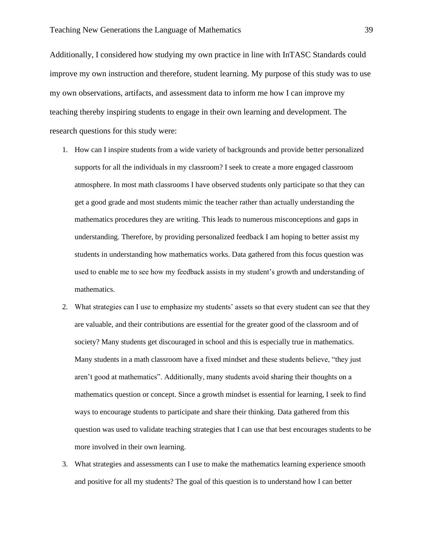Additionally, I considered how studying my own practice in line with InTASC Standards could improve my own instruction and therefore, student learning. My purpose of this study was to use my own observations, artifacts, and assessment data to inform me how I can improve my teaching thereby inspiring students to engage in their own learning and development. The research questions for this study were:

- 1. How can I inspire students from a wide variety of backgrounds and provide better personalized supports for all the individuals in my classroom? I seek to create a more engaged classroom atmosphere. In most math classrooms I have observed students only participate so that they can get a good grade and most students mimic the teacher rather than actually understanding the mathematics procedures they are writing. This leads to numerous misconceptions and gaps in understanding. Therefore, by providing personalized feedback I am hoping to better assist my students in understanding how mathematics works. Data gathered from this focus question was used to enable me to see how my feedback assists in my student's growth and understanding of mathematics.
- 2. What strategies can I use to emphasize my students' assets so that every student can see that they are valuable, and their contributions are essential for the greater good of the classroom and of society? Many students get discouraged in school and this is especially true in mathematics. Many students in a math classroom have a fixed mindset and these students believe, "they just aren't good at mathematics". Additionally, many students avoid sharing their thoughts on a mathematics question or concept. Since a growth mindset is essential for learning, I seek to find ways to encourage students to participate and share their thinking. Data gathered from this question was used to validate teaching strategies that I can use that best encourages students to be more involved in their own learning.
- 3. What strategies and assessments can I use to make the mathematics learning experience smooth and positive for all my students? The goal of this question is to understand how I can better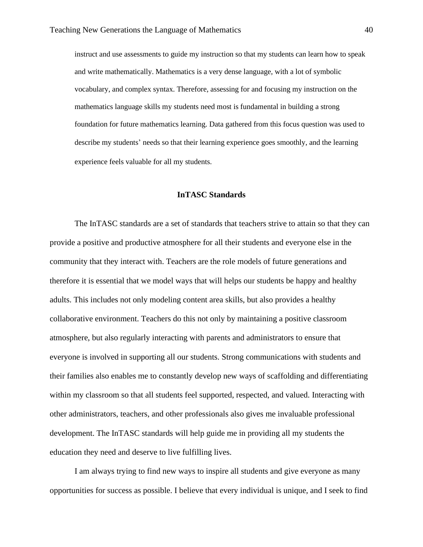instruct and use assessments to guide my instruction so that my students can learn how to speak and write mathematically. Mathematics is a very dense language, with a lot of symbolic vocabulary, and complex syntax. Therefore, assessing for and focusing my instruction on the mathematics language skills my students need most is fundamental in building a strong foundation for future mathematics learning. Data gathered from this focus question was used to describe my students' needs so that their learning experience goes smoothly, and the learning experience feels valuable for all my students.

### **InTASC Standards**

The InTASC standards are a set of standards that teachers strive to attain so that they can provide a positive and productive atmosphere for all their students and everyone else in the community that they interact with. Teachers are the role models of future generations and therefore it is essential that we model ways that will helps our students be happy and healthy adults. This includes not only modeling content area skills, but also provides a healthy collaborative environment. Teachers do this not only by maintaining a positive classroom atmosphere, but also regularly interacting with parents and administrators to ensure that everyone is involved in supporting all our students. Strong communications with students and their families also enables me to constantly develop new ways of scaffolding and differentiating within my classroom so that all students feel supported, respected, and valued. Interacting with other administrators, teachers, and other professionals also gives me invaluable professional development. The InTASC standards will help guide me in providing all my students the education they need and deserve to live fulfilling lives.

I am always trying to find new ways to inspire all students and give everyone as many opportunities for success as possible. I believe that every individual is unique, and I seek to find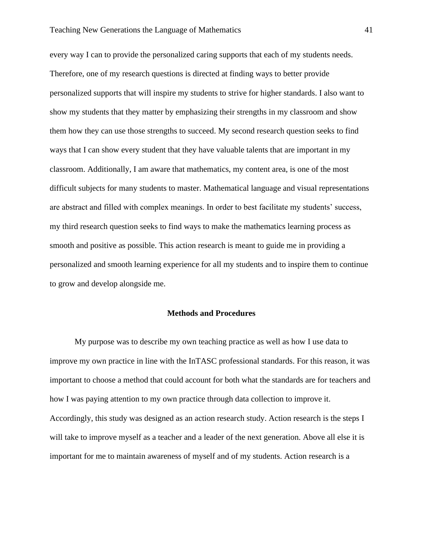every way I can to provide the personalized caring supports that each of my students needs. Therefore, one of my research questions is directed at finding ways to better provide personalized supports that will inspire my students to strive for higher standards. I also want to show my students that they matter by emphasizing their strengths in my classroom and show them how they can use those strengths to succeed. My second research question seeks to find ways that I can show every student that they have valuable talents that are important in my classroom. Additionally, I am aware that mathematics, my content area, is one of the most difficult subjects for many students to master. Mathematical language and visual representations are abstract and filled with complex meanings. In order to best facilitate my students' success, my third research question seeks to find ways to make the mathematics learning process as smooth and positive as possible. This action research is meant to guide me in providing a personalized and smooth learning experience for all my students and to inspire them to continue to grow and develop alongside me.

### **Methods and Procedures**

My purpose was to describe my own teaching practice as well as how I use data to improve my own practice in line with the InTASC professional standards. For this reason, it was important to choose a method that could account for both what the standards are for teachers and how I was paying attention to my own practice through data collection to improve it. Accordingly, this study was designed as an action research study. Action research is the steps I will take to improve myself as a teacher and a leader of the next generation. Above all else it is important for me to maintain awareness of myself and of my students. Action research is a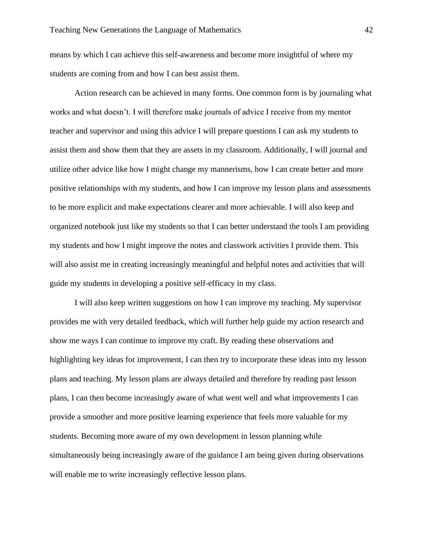means by which I can achieve this self-awareness and become more insightful of where my students are coming from and how I can best assist them.

Action research can be achieved in many forms. One common form is by journaling what works and what doesn't. I will therefore make journals of advice I receive from my mentor teacher and supervisor and using this advice I will prepare questions I can ask my students to assist them and show them that they are assets in my classroom. Additionally, I will journal and utilize other advice like how I might change my mannerisms, how I can create better and more positive relationships with my students, and how I can improve my lesson plans and assessments to be more explicit and make expectations clearer and more achievable. I will also keep and organized notebook just like my students so that I can better understand the tools I am providing my students and how I might improve the notes and classwork activities I provide them. This will also assist me in creating increasingly meaningful and helpful notes and activities that will guide my students in developing a positive self-efficacy in my class.

I will also keep written suggestions on how I can improve my teaching. My supervisor provides me with very detailed feedback, which will further help guide my action research and show me ways I can continue to improve my craft. By reading these observations and highlighting key ideas for improvement, I can then try to incorporate these ideas into my lesson plans and teaching. My lesson plans are always detailed and therefore by reading past lesson plans, I can then become increasingly aware of what went well and what improvements I can provide a smoother and more positive learning experience that feels more valuable for my students. Becoming more aware of my own development in lesson planning while simultaneously being increasingly aware of the guidance I am being given during observations will enable me to write increasingly reflective lesson plans.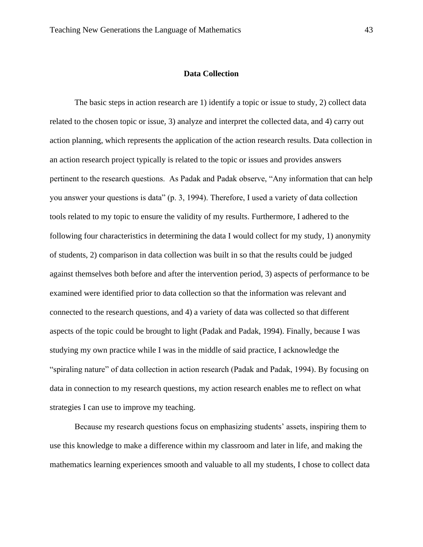# **Data Collection**

The basic steps in action research are 1) identify a topic or issue to study, 2) collect data related to the chosen topic or issue, 3) analyze and interpret the collected data, and 4) carry out action planning, which represents the application of the action research results. Data collection in an action research project typically is related to the topic or issues and provides answers pertinent to the research questions. As Padak and Padak observe, "Any information that can help you answer your questions is data" (p. 3, 1994). Therefore, I used a variety of data collection tools related to my topic to ensure the validity of my results. Furthermore, I adhered to the following four characteristics in determining the data I would collect for my study, 1) anonymity of students, 2) comparison in data collection was built in so that the results could be judged against themselves both before and after the intervention period, 3) aspects of performance to be examined were identified prior to data collection so that the information was relevant and connected to the research questions, and 4) a variety of data was collected so that different aspects of the topic could be brought to light (Padak and Padak, 1994). Finally, because I was studying my own practice while I was in the middle of said practice, I acknowledge the "spiraling nature" of data collection in action research (Padak and Padak, 1994). By focusing on data in connection to my research questions, my action research enables me to reflect on what strategies I can use to improve my teaching.

Because my research questions focus on emphasizing students' assets, inspiring them to use this knowledge to make a difference within my classroom and later in life, and making the mathematics learning experiences smooth and valuable to all my students, I chose to collect data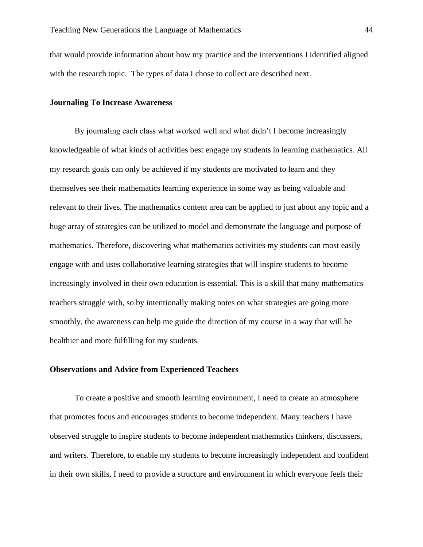that would provide information about how my practice and the interventions I identified aligned with the research topic. The types of data I chose to collect are described next.

# **Journaling To Increase Awareness**

By journaling each class what worked well and what didn't I become increasingly knowledgeable of what kinds of activities best engage my students in learning mathematics. All my research goals can only be achieved if my students are motivated to learn and they themselves see their mathematics learning experience in some way as being valuable and relevant to their lives. The mathematics content area can be applied to just about any topic and a huge array of strategies can be utilized to model and demonstrate the language and purpose of mathematics. Therefore, discovering what mathematics activities my students can most easily engage with and uses collaborative learning strategies that will inspire students to become increasingly involved in their own education is essential. This is a skill that many mathematics teachers struggle with, so by intentionally making notes on what strategies are going more smoothly, the awareness can help me guide the direction of my course in a way that will be healthier and more fulfilling for my students.

# **Observations and Advice from Experienced Teachers**

To create a positive and smooth learning environment, I need to create an atmosphere that promotes focus and encourages students to become independent. Many teachers I have observed struggle to inspire students to become independent mathematics thinkers, discussers, and writers. Therefore, to enable my students to become increasingly independent and confident in their own skills, I need to provide a structure and environment in which everyone feels their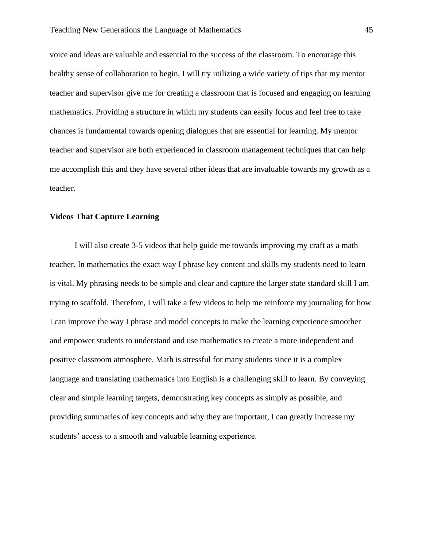voice and ideas are valuable and essential to the success of the classroom. To encourage this healthy sense of collaboration to begin, I will try utilizing a wide variety of tips that my mentor teacher and supervisor give me for creating a classroom that is focused and engaging on learning mathematics. Providing a structure in which my students can easily focus and feel free to take chances is fundamental towards opening dialogues that are essential for learning. My mentor teacher and supervisor are both experienced in classroom management techniques that can help me accomplish this and they have several other ideas that are invaluable towards my growth as a teacher.

### **Videos That Capture Learning**

I will also create 3-5 videos that help guide me towards improving my craft as a math teacher. In mathematics the exact way I phrase key content and skills my students need to learn is vital. My phrasing needs to be simple and clear and capture the larger state standard skill I am trying to scaffold. Therefore, I will take a few videos to help me reinforce my journaling for how I can improve the way I phrase and model concepts to make the learning experience smoother and empower students to understand and use mathematics to create a more independent and positive classroom atmosphere. Math is stressful for many students since it is a complex language and translating mathematics into English is a challenging skill to learn. By conveying clear and simple learning targets, demonstrating key concepts as simply as possible, and providing summaries of key concepts and why they are important, I can greatly increase my students' access to a smooth and valuable learning experience.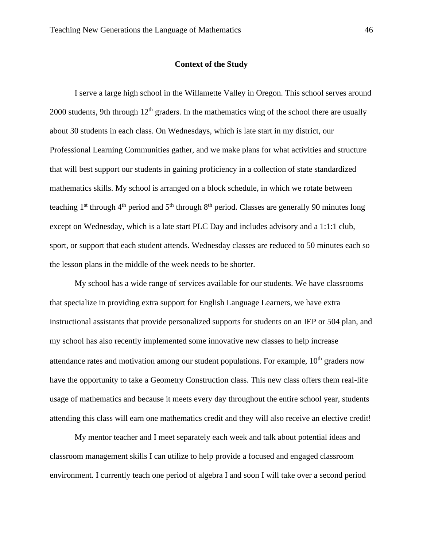#### **Context of the Study**

I serve a large high school in the Willamette Valley in Oregon. This school serves around 2000 students, 9th through  $12<sup>th</sup>$  graders. In the mathematics wing of the school there are usually about 30 students in each class. On Wednesdays, which is late start in my district, our Professional Learning Communities gather, and we make plans for what activities and structure that will best support our students in gaining proficiency in a collection of state standardized mathematics skills. My school is arranged on a block schedule, in which we rotate between teaching 1<sup>st</sup> through 4<sup>th</sup> period and 5<sup>th</sup> through 8<sup>th</sup> period. Classes are generally 90 minutes long except on Wednesday, which is a late start PLC Day and includes advisory and a 1:1:1 club, sport, or support that each student attends. Wednesday classes are reduced to 50 minutes each so the lesson plans in the middle of the week needs to be shorter.

My school has a wide range of services available for our students. We have classrooms that specialize in providing extra support for English Language Learners, we have extra instructional assistants that provide personalized supports for students on an IEP or 504 plan, and my school has also recently implemented some innovative new classes to help increase attendance rates and motivation among our student populations. For example,  $10<sup>th</sup>$  graders now have the opportunity to take a Geometry Construction class. This new class offers them real-life usage of mathematics and because it meets every day throughout the entire school year, students attending this class will earn one mathematics credit and they will also receive an elective credit!

My mentor teacher and I meet separately each week and talk about potential ideas and classroom management skills I can utilize to help provide a focused and engaged classroom environment. I currently teach one period of algebra I and soon I will take over a second period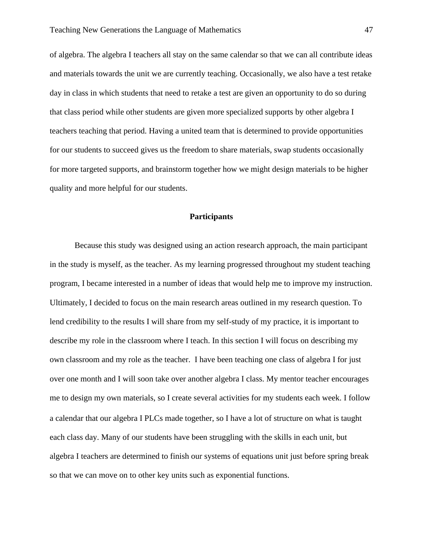of algebra. The algebra I teachers all stay on the same calendar so that we can all contribute ideas and materials towards the unit we are currently teaching. Occasionally, we also have a test retake day in class in which students that need to retake a test are given an opportunity to do so during that class period while other students are given more specialized supports by other algebra I teachers teaching that period. Having a united team that is determined to provide opportunities for our students to succeed gives us the freedom to share materials, swap students occasionally for more targeted supports, and brainstorm together how we might design materials to be higher quality and more helpful for our students.

### **Participants**

Because this study was designed using an action research approach, the main participant in the study is myself, as the teacher. As my learning progressed throughout my student teaching program, I became interested in a number of ideas that would help me to improve my instruction. Ultimately, I decided to focus on the main research areas outlined in my research question. To lend credibility to the results I will share from my self-study of my practice, it is important to describe my role in the classroom where I teach. In this section I will focus on describing my own classroom and my role as the teacher. I have been teaching one class of algebra I for just over one month and I will soon take over another algebra I class. My mentor teacher encourages me to design my own materials, so I create several activities for my students each week. I follow a calendar that our algebra I PLCs made together, so I have a lot of structure on what is taught each class day. Many of our students have been struggling with the skills in each unit, but algebra I teachers are determined to finish our systems of equations unit just before spring break so that we can move on to other key units such as exponential functions.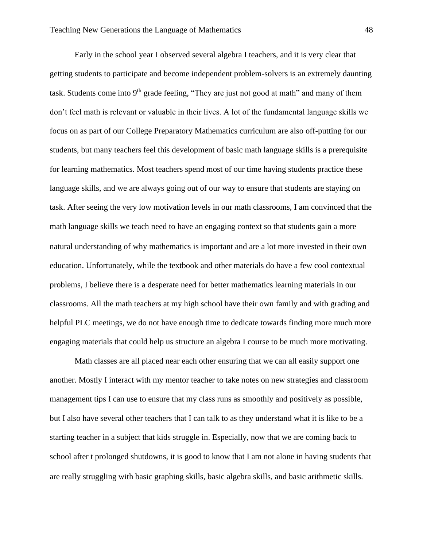Early in the school year I observed several algebra I teachers, and it is very clear that getting students to participate and become independent problem-solvers is an extremely daunting task. Students come into  $9<sup>th</sup>$  grade feeling, "They are just not good at math" and many of them don't feel math is relevant or valuable in their lives. A lot of the fundamental language skills we focus on as part of our College Preparatory Mathematics curriculum are also off-putting for our students, but many teachers feel this development of basic math language skills is a prerequisite for learning mathematics. Most teachers spend most of our time having students practice these language skills, and we are always going out of our way to ensure that students are staying on task. After seeing the very low motivation levels in our math classrooms, I am convinced that the math language skills we teach need to have an engaging context so that students gain a more natural understanding of why mathematics is important and are a lot more invested in their own education. Unfortunately, while the textbook and other materials do have a few cool contextual problems, I believe there is a desperate need for better mathematics learning materials in our classrooms. All the math teachers at my high school have their own family and with grading and helpful PLC meetings, we do not have enough time to dedicate towards finding more much more engaging materials that could help us structure an algebra I course to be much more motivating.

Math classes are all placed near each other ensuring that we can all easily support one another. Mostly I interact with my mentor teacher to take notes on new strategies and classroom management tips I can use to ensure that my class runs as smoothly and positively as possible, but I also have several other teachers that I can talk to as they understand what it is like to be a starting teacher in a subject that kids struggle in. Especially, now that we are coming back to school after t prolonged shutdowns, it is good to know that I am not alone in having students that are really struggling with basic graphing skills, basic algebra skills, and basic arithmetic skills.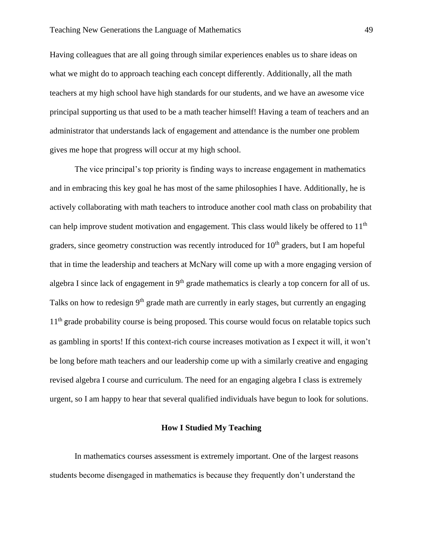Having colleagues that are all going through similar experiences enables us to share ideas on what we might do to approach teaching each concept differently. Additionally, all the math teachers at my high school have high standards for our students, and we have an awesome vice principal supporting us that used to be a math teacher himself! Having a team of teachers and an administrator that understands lack of engagement and attendance is the number one problem gives me hope that progress will occur at my high school.

The vice principal's top priority is finding ways to increase engagement in mathematics and in embracing this key goal he has most of the same philosophies I have. Additionally, he is actively collaborating with math teachers to introduce another cool math class on probability that can help improve student motivation and engagement. This class would likely be offered to 11<sup>th</sup> graders, since geometry construction was recently introduced for  $10<sup>th</sup>$  graders, but I am hopeful that in time the leadership and teachers at McNary will come up with a more engaging version of algebra I since lack of engagement in  $9<sup>th</sup>$  grade mathematics is clearly a top concern for all of us. Talks on how to redesign 9<sup>th</sup> grade math are currently in early stages, but currently an engaging 11<sup>th</sup> grade probability course is being proposed. This course would focus on relatable topics such as gambling in sports! If this context-rich course increases motivation as I expect it will, it won't be long before math teachers and our leadership come up with a similarly creative and engaging revised algebra I course and curriculum. The need for an engaging algebra I class is extremely urgent, so I am happy to hear that several qualified individuals have begun to look for solutions.

# **How I Studied My Teaching**

In mathematics courses assessment is extremely important. One of the largest reasons students become disengaged in mathematics is because they frequently don't understand the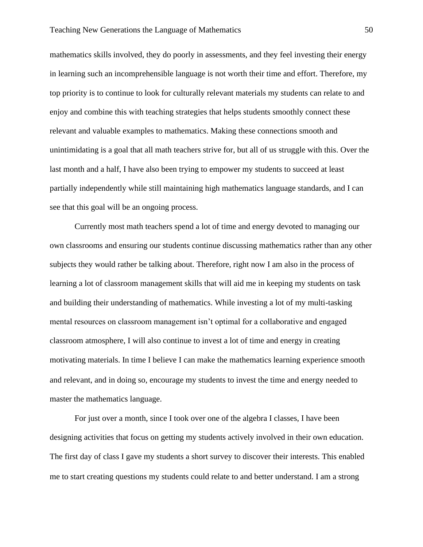mathematics skills involved, they do poorly in assessments, and they feel investing their energy in learning such an incomprehensible language is not worth their time and effort. Therefore, my top priority is to continue to look for culturally relevant materials my students can relate to and enjoy and combine this with teaching strategies that helps students smoothly connect these relevant and valuable examples to mathematics. Making these connections smooth and unintimidating is a goal that all math teachers strive for, but all of us struggle with this. Over the last month and a half, I have also been trying to empower my students to succeed at least partially independently while still maintaining high mathematics language standards, and I can see that this goal will be an ongoing process.

Currently most math teachers spend a lot of time and energy devoted to managing our own classrooms and ensuring our students continue discussing mathematics rather than any other subjects they would rather be talking about. Therefore, right now I am also in the process of learning a lot of classroom management skills that will aid me in keeping my students on task and building their understanding of mathematics. While investing a lot of my multi-tasking mental resources on classroom management isn't optimal for a collaborative and engaged classroom atmosphere, I will also continue to invest a lot of time and energy in creating motivating materials. In time I believe I can make the mathematics learning experience smooth and relevant, and in doing so, encourage my students to invest the time and energy needed to master the mathematics language.

For just over a month, since I took over one of the algebra I classes, I have been designing activities that focus on getting my students actively involved in their own education. The first day of class I gave my students a short survey to discover their interests. This enabled me to start creating questions my students could relate to and better understand. I am a strong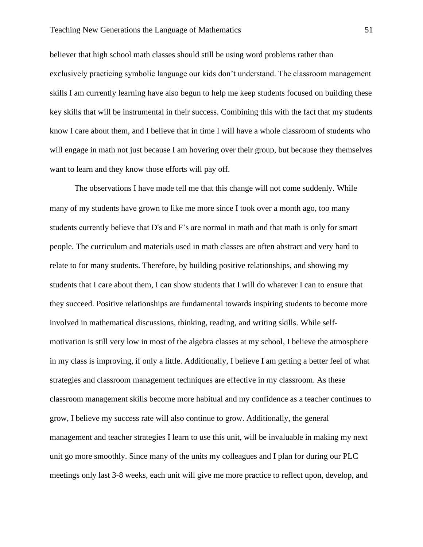believer that high school math classes should still be using word problems rather than exclusively practicing symbolic language our kids don't understand. The classroom management skills I am currently learning have also begun to help me keep students focused on building these key skills that will be instrumental in their success. Combining this with the fact that my students know I care about them, and I believe that in time I will have a whole classroom of students who will engage in math not just because I am hovering over their group, but because they themselves want to learn and they know those efforts will pay off.

The observations I have made tell me that this change will not come suddenly. While many of my students have grown to like me more since I took over a month ago, too many students currently believe that D's and F's are normal in math and that math is only for smart people. The curriculum and materials used in math classes are often abstract and very hard to relate to for many students. Therefore, by building positive relationships, and showing my students that I care about them, I can show students that I will do whatever I can to ensure that they succeed. Positive relationships are fundamental towards inspiring students to become more involved in mathematical discussions, thinking, reading, and writing skills. While selfmotivation is still very low in most of the algebra classes at my school, I believe the atmosphere in my class is improving, if only a little. Additionally, I believe I am getting a better feel of what strategies and classroom management techniques are effective in my classroom. As these classroom management skills become more habitual and my confidence as a teacher continues to grow, I believe my success rate will also continue to grow. Additionally, the general management and teacher strategies I learn to use this unit, will be invaluable in making my next unit go more smoothly. Since many of the units my colleagues and I plan for during our PLC meetings only last 3-8 weeks, each unit will give me more practice to reflect upon, develop, and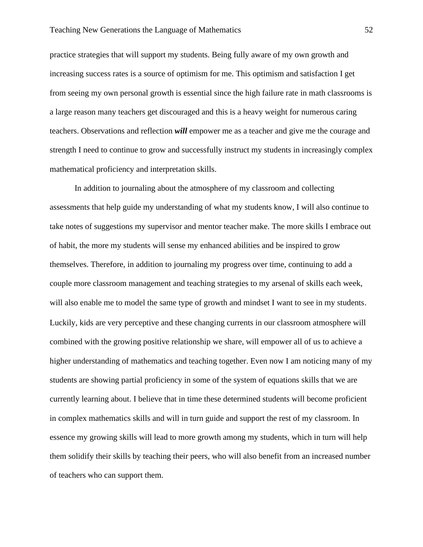practice strategies that will support my students. Being fully aware of my own growth and increasing success rates is a source of optimism for me. This optimism and satisfaction I get from seeing my own personal growth is essential since the high failure rate in math classrooms is a large reason many teachers get discouraged and this is a heavy weight for numerous caring teachers. Observations and reflection *will* empower me as a teacher and give me the courage and strength I need to continue to grow and successfully instruct my students in increasingly complex mathematical proficiency and interpretation skills.

In addition to journaling about the atmosphere of my classroom and collecting assessments that help guide my understanding of what my students know, I will also continue to take notes of suggestions my supervisor and mentor teacher make. The more skills I embrace out of habit, the more my students will sense my enhanced abilities and be inspired to grow themselves. Therefore, in addition to journaling my progress over time, continuing to add a couple more classroom management and teaching strategies to my arsenal of skills each week, will also enable me to model the same type of growth and mindset I want to see in my students. Luckily, kids are very perceptive and these changing currents in our classroom atmosphere will combined with the growing positive relationship we share, will empower all of us to achieve a higher understanding of mathematics and teaching together. Even now I am noticing many of my students are showing partial proficiency in some of the system of equations skills that we are currently learning about. I believe that in time these determined students will become proficient in complex mathematics skills and will in turn guide and support the rest of my classroom. In essence my growing skills will lead to more growth among my students, which in turn will help them solidify their skills by teaching their peers, who will also benefit from an increased number of teachers who can support them.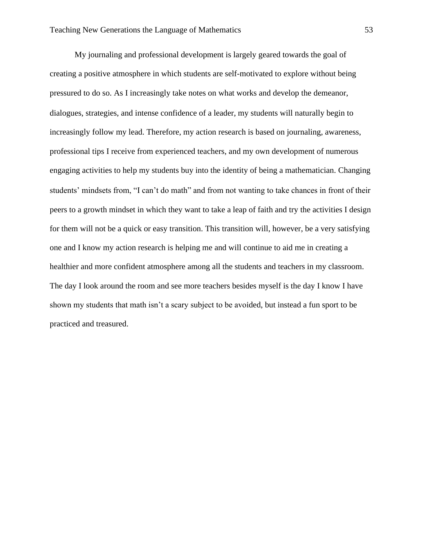My journaling and professional development is largely geared towards the goal of creating a positive atmosphere in which students are self-motivated to explore without being pressured to do so. As I increasingly take notes on what works and develop the demeanor, dialogues, strategies, and intense confidence of a leader, my students will naturally begin to increasingly follow my lead. Therefore, my action research is based on journaling, awareness, professional tips I receive from experienced teachers, and my own development of numerous engaging activities to help my students buy into the identity of being a mathematician. Changing students' mindsets from, "I can't do math" and from not wanting to take chances in front of their peers to a growth mindset in which they want to take a leap of faith and try the activities I design for them will not be a quick or easy transition. This transition will, however, be a very satisfying one and I know my action research is helping me and will continue to aid me in creating a healthier and more confident atmosphere among all the students and teachers in my classroom. The day I look around the room and see more teachers besides myself is the day I know I have shown my students that math isn't a scary subject to be avoided, but instead a fun sport to be practiced and treasured.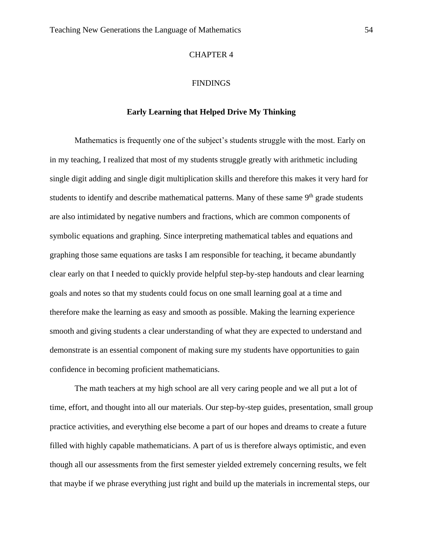# CHAPTER 4

# **FINDINGS**

# **Early Learning that Helped Drive My Thinking**

Mathematics is frequently one of the subject's students struggle with the most. Early on in my teaching, I realized that most of my students struggle greatly with arithmetic including single digit adding and single digit multiplication skills and therefore this makes it very hard for students to identify and describe mathematical patterns. Many of these same  $9<sup>th</sup>$  grade students are also intimidated by negative numbers and fractions, which are common components of symbolic equations and graphing. Since interpreting mathematical tables and equations and graphing those same equations are tasks I am responsible for teaching, it became abundantly clear early on that I needed to quickly provide helpful step-by-step handouts and clear learning goals and notes so that my students could focus on one small learning goal at a time and therefore make the learning as easy and smooth as possible. Making the learning experience smooth and giving students a clear understanding of what they are expected to understand and demonstrate is an essential component of making sure my students have opportunities to gain confidence in becoming proficient mathematicians.

The math teachers at my high school are all very caring people and we all put a lot of time, effort, and thought into all our materials. Our step-by-step guides, presentation, small group practice activities, and everything else become a part of our hopes and dreams to create a future filled with highly capable mathematicians. A part of us is therefore always optimistic, and even though all our assessments from the first semester yielded extremely concerning results, we felt that maybe if we phrase everything just right and build up the materials in incremental steps, our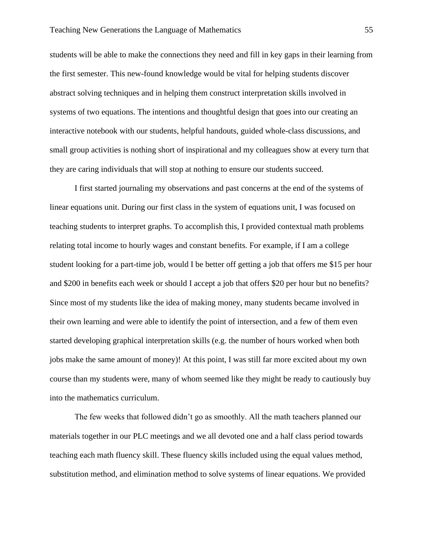students will be able to make the connections they need and fill in key gaps in their learning from the first semester. This new-found knowledge would be vital for helping students discover abstract solving techniques and in helping them construct interpretation skills involved in systems of two equations. The intentions and thoughtful design that goes into our creating an interactive notebook with our students, helpful handouts, guided whole-class discussions, and small group activities is nothing short of inspirational and my colleagues show at every turn that they are caring individuals that will stop at nothing to ensure our students succeed.

I first started journaling my observations and past concerns at the end of the systems of linear equations unit. During our first class in the system of equations unit, I was focused on teaching students to interpret graphs. To accomplish this, I provided contextual math problems relating total income to hourly wages and constant benefits. For example, if I am a college student looking for a part-time job, would I be better off getting a job that offers me \$15 per hour and \$200 in benefits each week or should I accept a job that offers \$20 per hour but no benefits? Since most of my students like the idea of making money, many students became involved in their own learning and were able to identify the point of intersection, and a few of them even started developing graphical interpretation skills (e.g. the number of hours worked when both jobs make the same amount of money)! At this point, I was still far more excited about my own course than my students were, many of whom seemed like they might be ready to cautiously buy into the mathematics curriculum.

The few weeks that followed didn't go as smoothly. All the math teachers planned our materials together in our PLC meetings and we all devoted one and a half class period towards teaching each math fluency skill. These fluency skills included using the equal values method, substitution method, and elimination method to solve systems of linear equations. We provided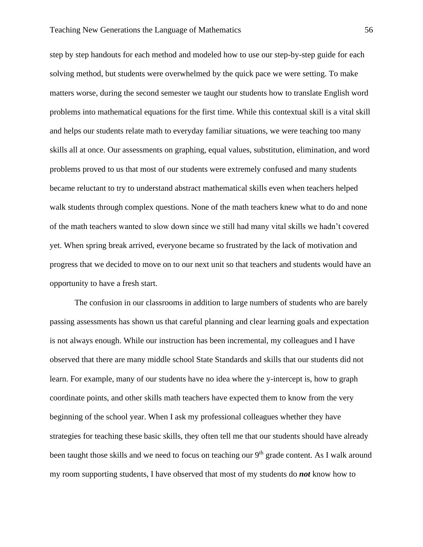step by step handouts for each method and modeled how to use our step-by-step guide for each solving method, but students were overwhelmed by the quick pace we were setting. To make matters worse, during the second semester we taught our students how to translate English word problems into mathematical equations for the first time. While this contextual skill is a vital skill and helps our students relate math to everyday familiar situations, we were teaching too many skills all at once. Our assessments on graphing, equal values, substitution, elimination, and word problems proved to us that most of our students were extremely confused and many students became reluctant to try to understand abstract mathematical skills even when teachers helped walk students through complex questions. None of the math teachers knew what to do and none of the math teachers wanted to slow down since we still had many vital skills we hadn't covered yet. When spring break arrived, everyone became so frustrated by the lack of motivation and progress that we decided to move on to our next unit so that teachers and students would have an opportunity to have a fresh start.

The confusion in our classrooms in addition to large numbers of students who are barely passing assessments has shown us that careful planning and clear learning goals and expectation is not always enough. While our instruction has been incremental, my colleagues and I have observed that there are many middle school State Standards and skills that our students did not learn. For example, many of our students have no idea where the y-intercept is, how to graph coordinate points, and other skills math teachers have expected them to know from the very beginning of the school year. When I ask my professional colleagues whether they have strategies for teaching these basic skills, they often tell me that our students should have already been taught those skills and we need to focus on teaching our 9<sup>th</sup> grade content. As I walk around my room supporting students, I have observed that most of my students do *not* know how to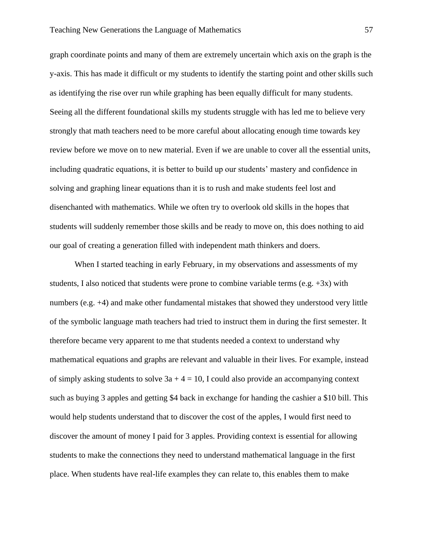graph coordinate points and many of them are extremely uncertain which axis on the graph is the y-axis. This has made it difficult or my students to identify the starting point and other skills such as identifying the rise over run while graphing has been equally difficult for many students. Seeing all the different foundational skills my students struggle with has led me to believe very strongly that math teachers need to be more careful about allocating enough time towards key review before we move on to new material. Even if we are unable to cover all the essential units, including quadratic equations, it is better to build up our students' mastery and confidence in solving and graphing linear equations than it is to rush and make students feel lost and disenchanted with mathematics. While we often try to overlook old skills in the hopes that students will suddenly remember those skills and be ready to move on, this does nothing to aid our goal of creating a generation filled with independent math thinkers and doers.

When I started teaching in early February, in my observations and assessments of my students, I also noticed that students were prone to combine variable terms (e.g.  $+3x$ ) with numbers (e.g. +4) and make other fundamental mistakes that showed they understood very little of the symbolic language math teachers had tried to instruct them in during the first semester. It therefore became very apparent to me that students needed a context to understand why mathematical equations and graphs are relevant and valuable in their lives. For example, instead of simply asking students to solve  $3a + 4 = 10$ , I could also provide an accompanying context such as buying 3 apples and getting \$4 back in exchange for handing the cashier a \$10 bill. This would help students understand that to discover the cost of the apples, I would first need to discover the amount of money I paid for 3 apples. Providing context is essential for allowing students to make the connections they need to understand mathematical language in the first place. When students have real-life examples they can relate to, this enables them to make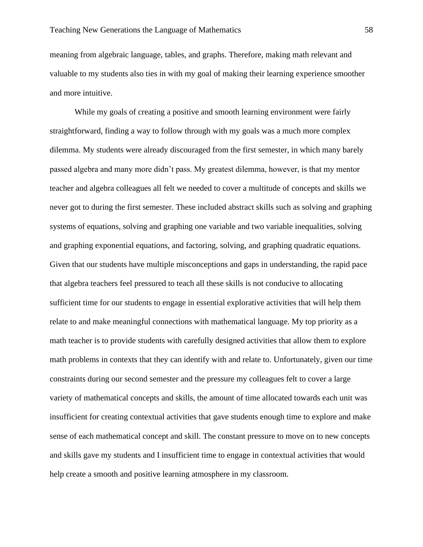meaning from algebraic language, tables, and graphs. Therefore, making math relevant and valuable to my students also ties in with my goal of making their learning experience smoother and more intuitive.

While my goals of creating a positive and smooth learning environment were fairly straightforward, finding a way to follow through with my goals was a much more complex dilemma. My students were already discouraged from the first semester, in which many barely passed algebra and many more didn't pass. My greatest dilemma, however, is that my mentor teacher and algebra colleagues all felt we needed to cover a multitude of concepts and skills we never got to during the first semester. These included abstract skills such as solving and graphing systems of equations, solving and graphing one variable and two variable inequalities, solving and graphing exponential equations, and factoring, solving, and graphing quadratic equations. Given that our students have multiple misconceptions and gaps in understanding, the rapid pace that algebra teachers feel pressured to teach all these skills is not conducive to allocating sufficient time for our students to engage in essential explorative activities that will help them relate to and make meaningful connections with mathematical language. My top priority as a math teacher is to provide students with carefully designed activities that allow them to explore math problems in contexts that they can identify with and relate to. Unfortunately, given our time constraints during our second semester and the pressure my colleagues felt to cover a large variety of mathematical concepts and skills, the amount of time allocated towards each unit was insufficient for creating contextual activities that gave students enough time to explore and make sense of each mathematical concept and skill. The constant pressure to move on to new concepts and skills gave my students and I insufficient time to engage in contextual activities that would help create a smooth and positive learning atmosphere in my classroom.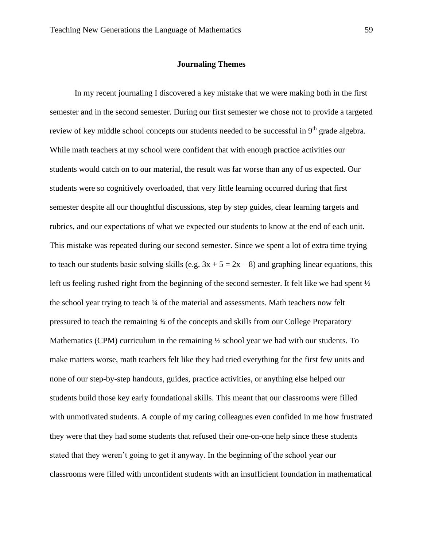#### **Journaling Themes**

In my recent journaling I discovered a key mistake that we were making both in the first semester and in the second semester. During our first semester we chose not to provide a targeted review of key middle school concepts our students needed to be successful in 9<sup>th</sup> grade algebra. While math teachers at my school were confident that with enough practice activities our students would catch on to our material, the result was far worse than any of us expected. Our students were so cognitively overloaded, that very little learning occurred during that first semester despite all our thoughtful discussions, step by step guides, clear learning targets and rubrics, and our expectations of what we expected our students to know at the end of each unit. This mistake was repeated during our second semester. Since we spent a lot of extra time trying to teach our students basic solving skills (e.g.  $3x + 5 = 2x - 8$ ) and graphing linear equations, this left us feeling rushed right from the beginning of the second semester. It felt like we had spent  $\frac{1}{2}$ the school year trying to teach  $\frac{1}{4}$  of the material and assessments. Math teachers now felt pressured to teach the remaining ¾ of the concepts and skills from our College Preparatory Mathematics (CPM) curriculum in the remaining  $\frac{1}{2}$  school year we had with our students. To make matters worse, math teachers felt like they had tried everything for the first few units and none of our step-by-step handouts, guides, practice activities, or anything else helped our students build those key early foundational skills. This meant that our classrooms were filled with unmotivated students. A couple of my caring colleagues even confided in me how frustrated they were that they had some students that refused their one-on-one help since these students stated that they weren't going to get it anyway. In the beginning of the school year our classrooms were filled with unconfident students with an insufficient foundation in mathematical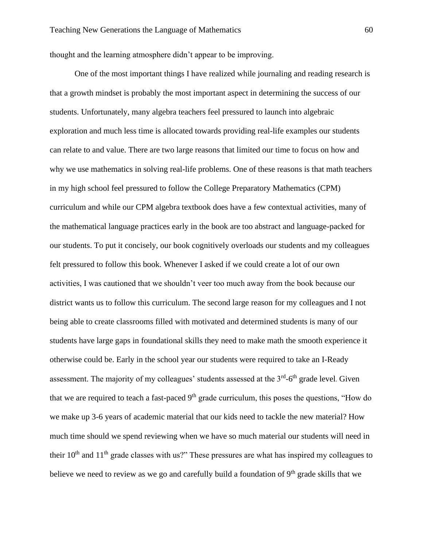thought and the learning atmosphere didn't appear to be improving.

One of the most important things I have realized while journaling and reading research is that a growth mindset is probably the most important aspect in determining the success of our students. Unfortunately, many algebra teachers feel pressured to launch into algebraic exploration and much less time is allocated towards providing real-life examples our students can relate to and value. There are two large reasons that limited our time to focus on how and why we use mathematics in solving real-life problems. One of these reasons is that math teachers in my high school feel pressured to follow the College Preparatory Mathematics (CPM) curriculum and while our CPM algebra textbook does have a few contextual activities, many of the mathematical language practices early in the book are too abstract and language-packed for our students. To put it concisely, our book cognitively overloads our students and my colleagues felt pressured to follow this book. Whenever I asked if we could create a lot of our own activities, I was cautioned that we shouldn't veer too much away from the book because our district wants us to follow this curriculum. The second large reason for my colleagues and I not being able to create classrooms filled with motivated and determined students is many of our students have large gaps in foundational skills they need to make math the smooth experience it otherwise could be. Early in the school year our students were required to take an I-Ready assessment. The majority of my colleagues' students assessed at the  $3<sup>rd</sup>$ -6<sup>th</sup> grade level. Given that we are required to teach a fast-paced  $9<sup>th</sup>$  grade curriculum, this poses the questions, "How do we make up 3-6 years of academic material that our kids need to tackle the new material? How much time should we spend reviewing when we have so much material our students will need in their  $10^{th}$  and  $11^{th}$  grade classes with us?" These pressures are what has inspired my colleagues to believe we need to review as we go and carefully build a foundation of  $9<sup>th</sup>$  grade skills that we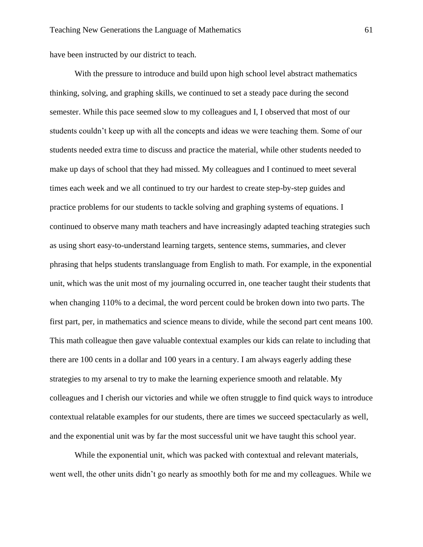have been instructed by our district to teach.

With the pressure to introduce and build upon high school level abstract mathematics thinking, solving, and graphing skills, we continued to set a steady pace during the second semester. While this pace seemed slow to my colleagues and I, I observed that most of our students couldn't keep up with all the concepts and ideas we were teaching them. Some of our students needed extra time to discuss and practice the material, while other students needed to make up days of school that they had missed. My colleagues and I continued to meet several times each week and we all continued to try our hardest to create step-by-step guides and practice problems for our students to tackle solving and graphing systems of equations. I continued to observe many math teachers and have increasingly adapted teaching strategies such as using short easy-to-understand learning targets, sentence stems, summaries, and clever phrasing that helps students translanguage from English to math. For example, in the exponential unit, which was the unit most of my journaling occurred in, one teacher taught their students that when changing 110% to a decimal, the word percent could be broken down into two parts. The first part, per, in mathematics and science means to divide, while the second part cent means 100. This math colleague then gave valuable contextual examples our kids can relate to including that there are 100 cents in a dollar and 100 years in a century. I am always eagerly adding these strategies to my arsenal to try to make the learning experience smooth and relatable. My colleagues and I cherish our victories and while we often struggle to find quick ways to introduce contextual relatable examples for our students, there are times we succeed spectacularly as well, and the exponential unit was by far the most successful unit we have taught this school year.

While the exponential unit, which was packed with contextual and relevant materials, went well, the other units didn't go nearly as smoothly both for me and my colleagues. While we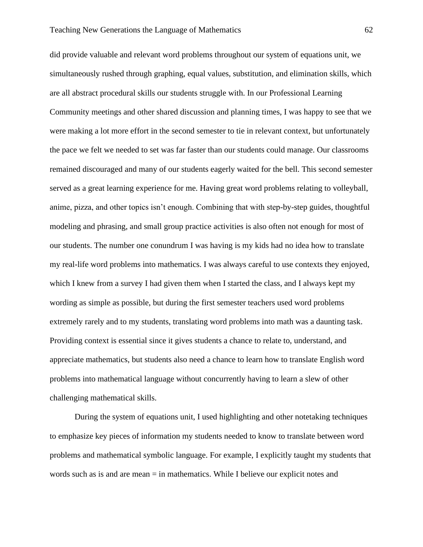did provide valuable and relevant word problems throughout our system of equations unit, we simultaneously rushed through graphing, equal values, substitution, and elimination skills, which are all abstract procedural skills our students struggle with. In our Professional Learning Community meetings and other shared discussion and planning times, I was happy to see that we were making a lot more effort in the second semester to tie in relevant context, but unfortunately the pace we felt we needed to set was far faster than our students could manage. Our classrooms remained discouraged and many of our students eagerly waited for the bell. This second semester served as a great learning experience for me. Having great word problems relating to volleyball, anime, pizza, and other topics isn't enough. Combining that with step-by-step guides, thoughtful modeling and phrasing, and small group practice activities is also often not enough for most of our students. The number one conundrum I was having is my kids had no idea how to translate my real-life word problems into mathematics. I was always careful to use contexts they enjoyed, which I knew from a survey I had given them when I started the class, and I always kept my wording as simple as possible, but during the first semester teachers used word problems extremely rarely and to my students, translating word problems into math was a daunting task. Providing context is essential since it gives students a chance to relate to, understand, and appreciate mathematics, but students also need a chance to learn how to translate English word problems into mathematical language without concurrently having to learn a slew of other challenging mathematical skills.

During the system of equations unit, I used highlighting and other notetaking techniques to emphasize key pieces of information my students needed to know to translate between word problems and mathematical symbolic language. For example, I explicitly taught my students that words such as is and are mean = in mathematics. While I believe our explicit notes and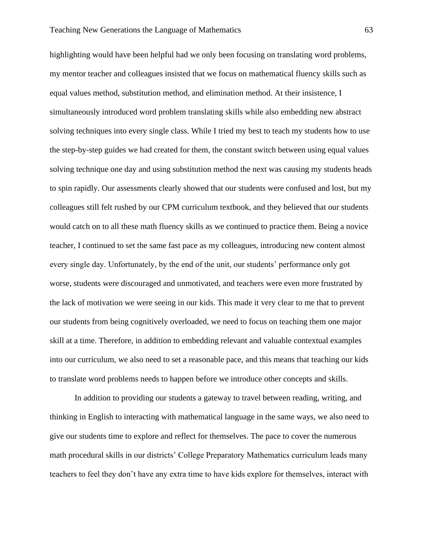highlighting would have been helpful had we only been focusing on translating word problems, my mentor teacher and colleagues insisted that we focus on mathematical fluency skills such as equal values method, substitution method, and elimination method. At their insistence, I simultaneously introduced word problem translating skills while also embedding new abstract solving techniques into every single class. While I tried my best to teach my students how to use the step-by-step guides we had created for them, the constant switch between using equal values solving technique one day and using substitution method the next was causing my students heads to spin rapidly. Our assessments clearly showed that our students were confused and lost, but my colleagues still felt rushed by our CPM curriculum textbook, and they believed that our students would catch on to all these math fluency skills as we continued to practice them. Being a novice teacher, I continued to set the same fast pace as my colleagues, introducing new content almost every single day. Unfortunately, by the end of the unit, our students' performance only got worse, students were discouraged and unmotivated, and teachers were even more frustrated by the lack of motivation we were seeing in our kids. This made it very clear to me that to prevent our students from being cognitively overloaded, we need to focus on teaching them one major skill at a time. Therefore, in addition to embedding relevant and valuable contextual examples into our curriculum, we also need to set a reasonable pace, and this means that teaching our kids to translate word problems needs to happen before we introduce other concepts and skills.

In addition to providing our students a gateway to travel between reading, writing, and thinking in English to interacting with mathematical language in the same ways, we also need to give our students time to explore and reflect for themselves. The pace to cover the numerous math procedural skills in our districts' College Preparatory Mathematics curriculum leads many teachers to feel they don't have any extra time to have kids explore for themselves, interact with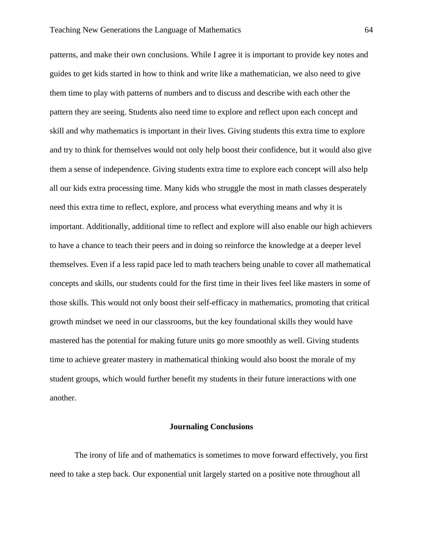patterns, and make their own conclusions. While I agree it is important to provide key notes and guides to get kids started in how to think and write like a mathematician, we also need to give them time to play with patterns of numbers and to discuss and describe with each other the pattern they are seeing. Students also need time to explore and reflect upon each concept and skill and why mathematics is important in their lives. Giving students this extra time to explore and try to think for themselves would not only help boost their confidence, but it would also give them a sense of independence. Giving students extra time to explore each concept will also help all our kids extra processing time. Many kids who struggle the most in math classes desperately need this extra time to reflect, explore, and process what everything means and why it is important. Additionally, additional time to reflect and explore will also enable our high achievers to have a chance to teach their peers and in doing so reinforce the knowledge at a deeper level themselves. Even if a less rapid pace led to math teachers being unable to cover all mathematical concepts and skills, our students could for the first time in their lives feel like masters in some of those skills. This would not only boost their self-efficacy in mathematics, promoting that critical growth mindset we need in our classrooms, but the key foundational skills they would have mastered has the potential for making future units go more smoothly as well. Giving students time to achieve greater mastery in mathematical thinking would also boost the morale of my student groups, which would further benefit my students in their future interactions with one another.

### **Journaling Conclusions**

The irony of life and of mathematics is sometimes to move forward effectively, you first need to take a step back. Our exponential unit largely started on a positive note throughout all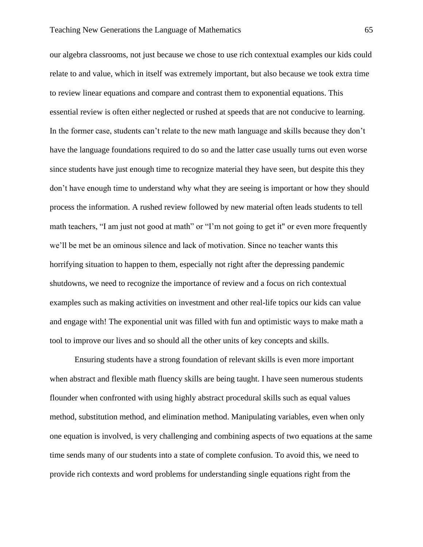our algebra classrooms, not just because we chose to use rich contextual examples our kids could relate to and value, which in itself was extremely important, but also because we took extra time to review linear equations and compare and contrast them to exponential equations. This essential review is often either neglected or rushed at speeds that are not conducive to learning. In the former case, students can't relate to the new math language and skills because they don't have the language foundations required to do so and the latter case usually turns out even worse since students have just enough time to recognize material they have seen, but despite this they don't have enough time to understand why what they are seeing is important or how they should process the information. A rushed review followed by new material often leads students to tell math teachers, "I am just not good at math" or "I'm not going to get it" or even more frequently we'll be met be an ominous silence and lack of motivation. Since no teacher wants this horrifying situation to happen to them, especially not right after the depressing pandemic shutdowns, we need to recognize the importance of review and a focus on rich contextual examples such as making activities on investment and other real-life topics our kids can value and engage with! The exponential unit was filled with fun and optimistic ways to make math a tool to improve our lives and so should all the other units of key concepts and skills.

Ensuring students have a strong foundation of relevant skills is even more important when abstract and flexible math fluency skills are being taught. I have seen numerous students flounder when confronted with using highly abstract procedural skills such as equal values method, substitution method, and elimination method. Manipulating variables, even when only one equation is involved, is very challenging and combining aspects of two equations at the same time sends many of our students into a state of complete confusion. To avoid this, we need to provide rich contexts and word problems for understanding single equations right from the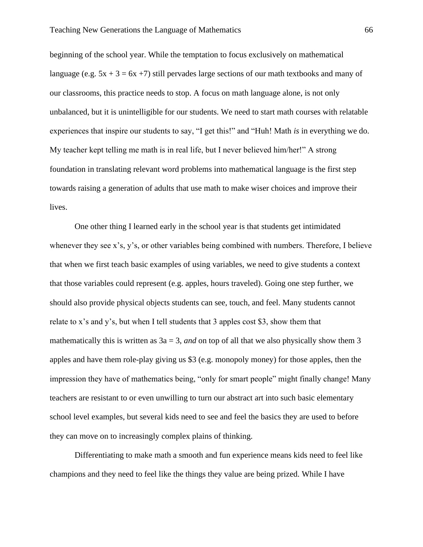beginning of the school year. While the temptation to focus exclusively on mathematical language (e.g.  $5x + 3 = 6x + 7$ ) still pervades large sections of our math textbooks and many of our classrooms, this practice needs to stop. A focus on math language alone, is not only unbalanced, but it is unintelligible for our students. We need to start math courses with relatable experiences that inspire our students to say, "I get this!" and "Huh! Math *is* in everything we do. My teacher kept telling me math is in real life, but I never believed him/her!" A strong foundation in translating relevant word problems into mathematical language is the first step towards raising a generation of adults that use math to make wiser choices and improve their lives.

One other thing I learned early in the school year is that students get intimidated whenever they see x's, y's, or other variables being combined with numbers. Therefore, I believe that when we first teach basic examples of using variables, we need to give students a context that those variables could represent (e.g. apples, hours traveled). Going one step further, we should also provide physical objects students can see, touch, and feel. Many students cannot relate to x's and y's, but when I tell students that 3 apples cost \$3, show them that mathematically this is written as  $3a = 3$ , *and* on top of all that we also physically show them 3 apples and have them role-play giving us \$3 (e.g. monopoly money) for those apples, then the impression they have of mathematics being, "only for smart people" might finally change! Many teachers are resistant to or even unwilling to turn our abstract art into such basic elementary school level examples, but several kids need to see and feel the basics they are used to before they can move on to increasingly complex plains of thinking.

Differentiating to make math a smooth and fun experience means kids need to feel like champions and they need to feel like the things they value are being prized. While I have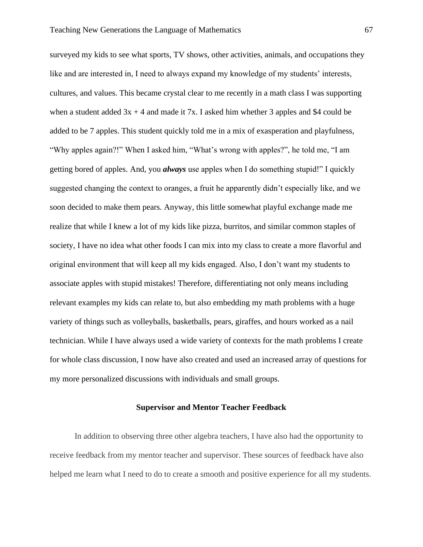surveyed my kids to see what sports, TV shows, other activities, animals, and occupations they like and are interested in, I need to always expand my knowledge of my students' interests, cultures, and values. This became crystal clear to me recently in a math class I was supporting when a student added  $3x + 4$  and made it 7x. I asked him whether 3 apples and \$4 could be added to be 7 apples. This student quickly told me in a mix of exasperation and playfulness, "Why apples again?!" When I asked him, "What's wrong with apples?", he told me, "I am getting bored of apples. And, you *always* use apples when I do something stupid!" I quickly suggested changing the context to oranges, a fruit he apparently didn't especially like, and we soon decided to make them pears. Anyway, this little somewhat playful exchange made me realize that while I knew a lot of my kids like pizza, burritos, and similar common staples of society, I have no idea what other foods I can mix into my class to create a more flavorful and original environment that will keep all my kids engaged. Also, I don't want my students to associate apples with stupid mistakes! Therefore, differentiating not only means including relevant examples my kids can relate to, but also embedding my math problems with a huge variety of things such as volleyballs, basketballs, pears, giraffes, and hours worked as a nail technician. While I have always used a wide variety of contexts for the math problems I create for whole class discussion, I now have also created and used an increased array of questions for my more personalized discussions with individuals and small groups.

## **Supervisor and Mentor Teacher Feedback**

In addition to observing three other algebra teachers, I have also had the opportunity to receive feedback from my mentor teacher and supervisor. These sources of feedback have also helped me learn what I need to do to create a smooth and positive experience for all my students.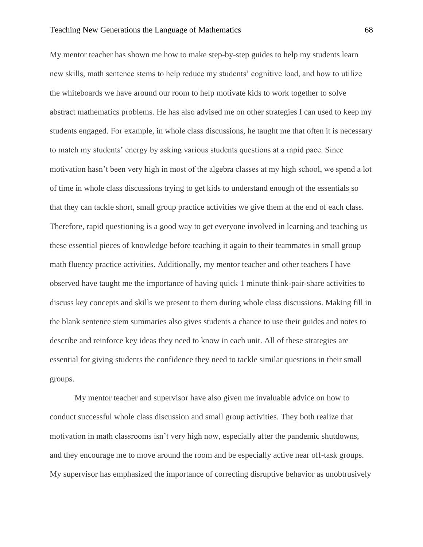### Teaching New Generations the Language of Mathematics 68

My mentor teacher has shown me how to make step-by-step guides to help my students learn new skills, math sentence stems to help reduce my students' cognitive load, and how to utilize the whiteboards we have around our room to help motivate kids to work together to solve abstract mathematics problems. He has also advised me on other strategies I can used to keep my students engaged. For example, in whole class discussions, he taught me that often it is necessary to match my students' energy by asking various students questions at a rapid pace. Since motivation hasn't been very high in most of the algebra classes at my high school, we spend a lot of time in whole class discussions trying to get kids to understand enough of the essentials so that they can tackle short, small group practice activities we give them at the end of each class. Therefore, rapid questioning is a good way to get everyone involved in learning and teaching us these essential pieces of knowledge before teaching it again to their teammates in small group math fluency practice activities. Additionally, my mentor teacher and other teachers I have observed have taught me the importance of having quick 1 minute think-pair-share activities to discuss key concepts and skills we present to them during whole class discussions. Making fill in the blank sentence stem summaries also gives students a chance to use their guides and notes to describe and reinforce key ideas they need to know in each unit. All of these strategies are essential for giving students the confidence they need to tackle similar questions in their small groups.

My mentor teacher and supervisor have also given me invaluable advice on how to conduct successful whole class discussion and small group activities. They both realize that motivation in math classrooms isn't very high now, especially after the pandemic shutdowns, and they encourage me to move around the room and be especially active near off-task groups. My supervisor has emphasized the importance of correcting disruptive behavior as unobtrusively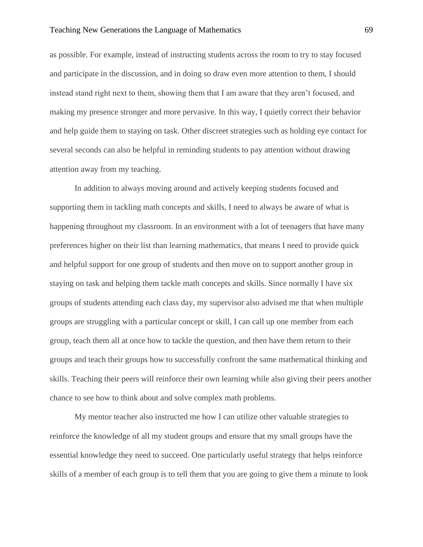## Teaching New Generations the Language of Mathematics 69

as possible. For example, instead of instructing students across the room to try to stay focused and participate in the discussion, and in doing so draw even more attention to them, I should instead stand right next to them, showing them that I am aware that they aren't focused, and making my presence stronger and more pervasive. In this way, I quietly correct their behavior and help guide them to staying on task. Other discreet strategies such as holding eye contact for several seconds can also be helpful in reminding students to pay attention without drawing attention away from my teaching.

In addition to always moving around and actively keeping students focused and supporting them in tackling math concepts and skills, I need to always be aware of what is happening throughout my classroom. In an environment with a lot of teenagers that have many preferences higher on their list than learning mathematics, that means I need to provide quick and helpful support for one group of students and then move on to support another group in staying on task and helping them tackle math concepts and skills. Since normally I have six groups of students attending each class day, my supervisor also advised me that when multiple groups are struggling with a particular concept or skill, I can call up one member from each group, teach them all at once how to tackle the question, and then have them return to their groups and teach their groups how to successfully confront the same mathematical thinking and skills. Teaching their peers will reinforce their own learning while also giving their peers another chance to see how to think about and solve complex math problems.

My mentor teacher also instructed me how I can utilize other valuable strategies to reinforce the knowledge of all my student groups and ensure that my small groups have the essential knowledge they need to succeed. One particularly useful strategy that helps reinforce skills of a member of each group is to tell them that you are going to give them a minute to look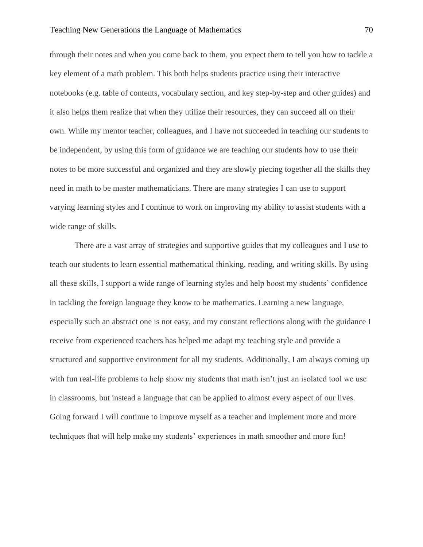## Teaching New Generations the Language of Mathematics 70

through their notes and when you come back to them, you expect them to tell you how to tackle a key element of a math problem. This both helps students practice using their interactive notebooks (e.g. table of contents, vocabulary section, and key step-by-step and other guides) and it also helps them realize that when they utilize their resources, they can succeed all on their own. While my mentor teacher, colleagues, and I have not succeeded in teaching our students to be independent, by using this form of guidance we are teaching our students how to use their notes to be more successful and organized and they are slowly piecing together all the skills they need in math to be master mathematicians. There are many strategies I can use to support varying learning styles and I continue to work on improving my ability to assist students with a wide range of skills.

There are a vast array of strategies and supportive guides that my colleagues and I use to teach our students to learn essential mathematical thinking, reading, and writing skills. By using all these skills, I support a wide range of learning styles and help boost my students' confidence in tackling the foreign language they know to be mathematics. Learning a new language, especially such an abstract one is not easy, and my constant reflections along with the guidance I receive from experienced teachers has helped me adapt my teaching style and provide a structured and supportive environment for all my students. Additionally, I am always coming up with fun real-life problems to help show my students that math isn't just an isolated tool we use in classrooms, but instead a language that can be applied to almost every aspect of our lives. Going forward I will continue to improve myself as a teacher and implement more and more techniques that will help make my students' experiences in math smoother and more fun!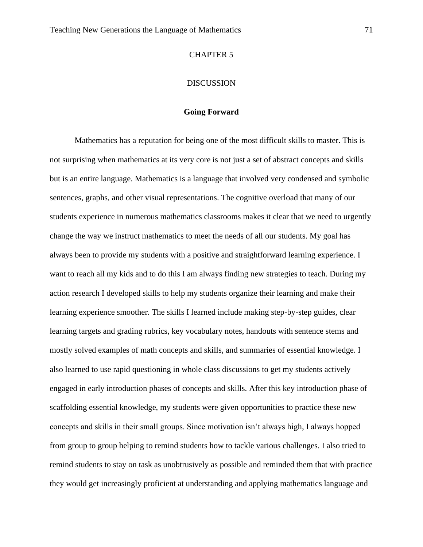## CHAPTER 5

# DISCUSSION

# **Going Forward**

Mathematics has a reputation for being one of the most difficult skills to master. This is not surprising when mathematics at its very core is not just a set of abstract concepts and skills but is an entire language. Mathematics is a language that involved very condensed and symbolic sentences, graphs, and other visual representations. The cognitive overload that many of our students experience in numerous mathematics classrooms makes it clear that we need to urgently change the way we instruct mathematics to meet the needs of all our students. My goal has always been to provide my students with a positive and straightforward learning experience. I want to reach all my kids and to do this I am always finding new strategies to teach. During my action research I developed skills to help my students organize their learning and make their learning experience smoother. The skills I learned include making step-by-step guides, clear learning targets and grading rubrics, key vocabulary notes, handouts with sentence stems and mostly solved examples of math concepts and skills, and summaries of essential knowledge. I also learned to use rapid questioning in whole class discussions to get my students actively engaged in early introduction phases of concepts and skills. After this key introduction phase of scaffolding essential knowledge, my students were given opportunities to practice these new concepts and skills in their small groups. Since motivation isn't always high, I always hopped from group to group helping to remind students how to tackle various challenges. I also tried to remind students to stay on task as unobtrusively as possible and reminded them that with practice they would get increasingly proficient at understanding and applying mathematics language and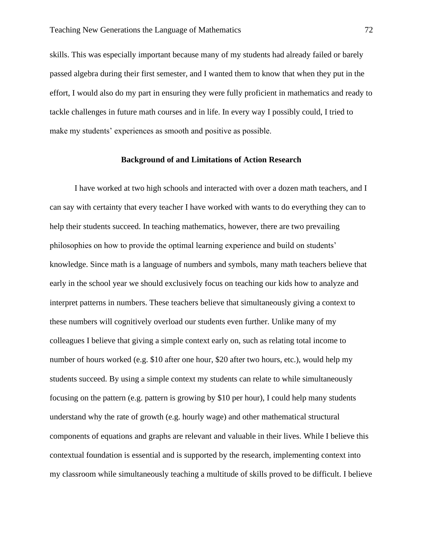skills. This was especially important because many of my students had already failed or barely passed algebra during their first semester, and I wanted them to know that when they put in the effort, I would also do my part in ensuring they were fully proficient in mathematics and ready to tackle challenges in future math courses and in life. In every way I possibly could, I tried to make my students' experiences as smooth and positive as possible.

# **Background of and Limitations of Action Research**

I have worked at two high schools and interacted with over a dozen math teachers, and I can say with certainty that every teacher I have worked with wants to do everything they can to help their students succeed. In teaching mathematics, however, there are two prevailing philosophies on how to provide the optimal learning experience and build on students' knowledge. Since math is a language of numbers and symbols, many math teachers believe that early in the school year we should exclusively focus on teaching our kids how to analyze and interpret patterns in numbers. These teachers believe that simultaneously giving a context to these numbers will cognitively overload our students even further. Unlike many of my colleagues I believe that giving a simple context early on, such as relating total income to number of hours worked (e.g. \$10 after one hour, \$20 after two hours, etc.), would help my students succeed. By using a simple context my students can relate to while simultaneously focusing on the pattern (e.g. pattern is growing by \$10 per hour), I could help many students understand why the rate of growth (e.g. hourly wage) and other mathematical structural components of equations and graphs are relevant and valuable in their lives. While I believe this contextual foundation is essential and is supported by the research, implementing context into my classroom while simultaneously teaching a multitude of skills proved to be difficult. I believe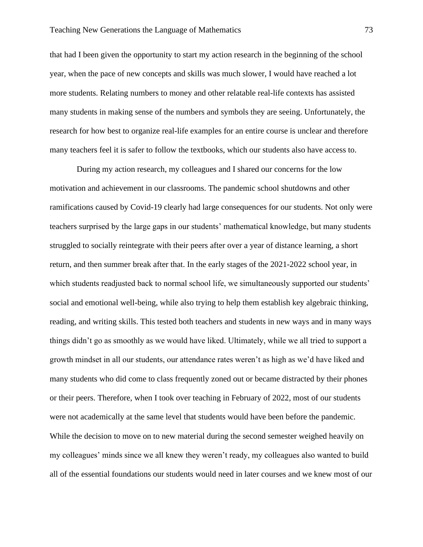that had I been given the opportunity to start my action research in the beginning of the school year, when the pace of new concepts and skills was much slower, I would have reached a lot more students. Relating numbers to money and other relatable real-life contexts has assisted many students in making sense of the numbers and symbols they are seeing. Unfortunately, the research for how best to organize real-life examples for an entire course is unclear and therefore many teachers feel it is safer to follow the textbooks, which our students also have access to.

During my action research, my colleagues and I shared our concerns for the low motivation and achievement in our classrooms. The pandemic school shutdowns and other ramifications caused by Covid-19 clearly had large consequences for our students. Not only were teachers surprised by the large gaps in our students' mathematical knowledge, but many students struggled to socially reintegrate with their peers after over a year of distance learning, a short return, and then summer break after that. In the early stages of the 2021-2022 school year, in which students readjusted back to normal school life, we simultaneously supported our students' social and emotional well-being, while also trying to help them establish key algebraic thinking, reading, and writing skills. This tested both teachers and students in new ways and in many ways things didn't go as smoothly as we would have liked. Ultimately, while we all tried to support a growth mindset in all our students, our attendance rates weren't as high as we'd have liked and many students who did come to class frequently zoned out or became distracted by their phones or their peers. Therefore, when I took over teaching in February of 2022, most of our students were not academically at the same level that students would have been before the pandemic. While the decision to move on to new material during the second semester weighed heavily on my colleagues' minds since we all knew they weren't ready, my colleagues also wanted to build all of the essential foundations our students would need in later courses and we knew most of our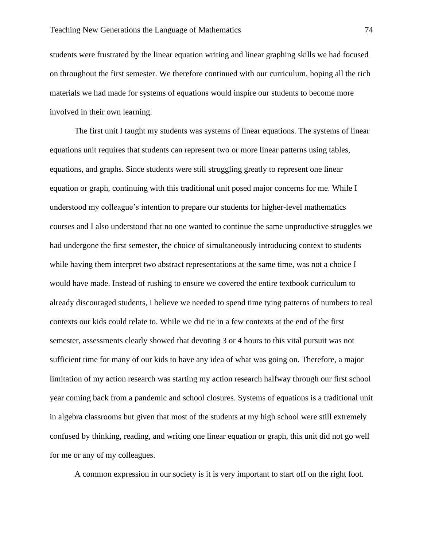students were frustrated by the linear equation writing and linear graphing skills we had focused on throughout the first semester. We therefore continued with our curriculum, hoping all the rich materials we had made for systems of equations would inspire our students to become more involved in their own learning.

The first unit I taught my students was systems of linear equations. The systems of linear equations unit requires that students can represent two or more linear patterns using tables, equations, and graphs. Since students were still struggling greatly to represent one linear equation or graph, continuing with this traditional unit posed major concerns for me. While I understood my colleague's intention to prepare our students for higher-level mathematics courses and I also understood that no one wanted to continue the same unproductive struggles we had undergone the first semester, the choice of simultaneously introducing context to students while having them interpret two abstract representations at the same time, was not a choice I would have made. Instead of rushing to ensure we covered the entire textbook curriculum to already discouraged students, I believe we needed to spend time tying patterns of numbers to real contexts our kids could relate to. While we did tie in a few contexts at the end of the first semester, assessments clearly showed that devoting 3 or 4 hours to this vital pursuit was not sufficient time for many of our kids to have any idea of what was going on. Therefore, a major limitation of my action research was starting my action research halfway through our first school year coming back from a pandemic and school closures. Systems of equations is a traditional unit in algebra classrooms but given that most of the students at my high school were still extremely confused by thinking, reading, and writing one linear equation or graph, this unit did not go well for me or any of my colleagues.

A common expression in our society is it is very important to start off on the right foot.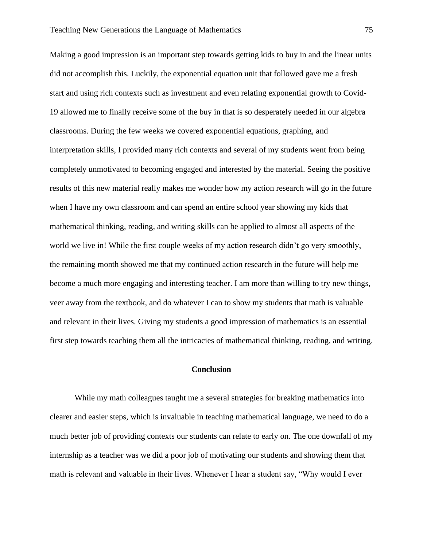Making a good impression is an important step towards getting kids to buy in and the linear units did not accomplish this. Luckily, the exponential equation unit that followed gave me a fresh start and using rich contexts such as investment and even relating exponential growth to Covid-19 allowed me to finally receive some of the buy in that is so desperately needed in our algebra classrooms. During the few weeks we covered exponential equations, graphing, and interpretation skills, I provided many rich contexts and several of my students went from being completely unmotivated to becoming engaged and interested by the material. Seeing the positive results of this new material really makes me wonder how my action research will go in the future when I have my own classroom and can spend an entire school year showing my kids that mathematical thinking, reading, and writing skills can be applied to almost all aspects of the world we live in! While the first couple weeks of my action research didn't go very smoothly, the remaining month showed me that my continued action research in the future will help me become a much more engaging and interesting teacher. I am more than willing to try new things, veer away from the textbook, and do whatever I can to show my students that math is valuable and relevant in their lives. Giving my students a good impression of mathematics is an essential first step towards teaching them all the intricacies of mathematical thinking, reading, and writing.

# **Conclusion**

While my math colleagues taught me a several strategies for breaking mathematics into clearer and easier steps, which is invaluable in teaching mathematical language, we need to do a much better job of providing contexts our students can relate to early on. The one downfall of my internship as a teacher was we did a poor job of motivating our students and showing them that math is relevant and valuable in their lives. Whenever I hear a student say, "Why would I ever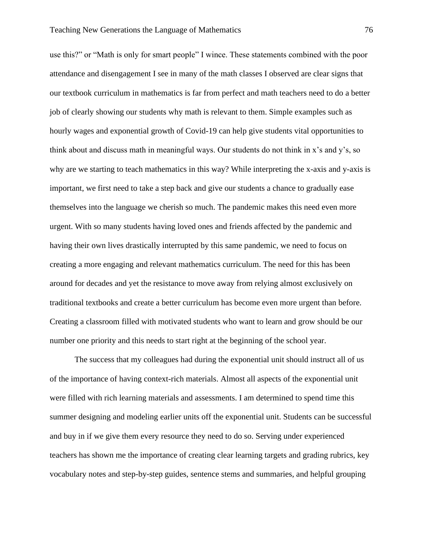use this?" or "Math is only for smart people" I wince. These statements combined with the poor attendance and disengagement I see in many of the math classes I observed are clear signs that our textbook curriculum in mathematics is far from perfect and math teachers need to do a better job of clearly showing our students why math is relevant to them. Simple examples such as hourly wages and exponential growth of Covid-19 can help give students vital opportunities to think about and discuss math in meaningful ways. Our students do not think in x's and y's, so why are we starting to teach mathematics in this way? While interpreting the x-axis and y-axis is important, we first need to take a step back and give our students a chance to gradually ease themselves into the language we cherish so much. The pandemic makes this need even more urgent. With so many students having loved ones and friends affected by the pandemic and having their own lives drastically interrupted by this same pandemic, we need to focus on creating a more engaging and relevant mathematics curriculum. The need for this has been around for decades and yet the resistance to move away from relying almost exclusively on traditional textbooks and create a better curriculum has become even more urgent than before. Creating a classroom filled with motivated students who want to learn and grow should be our number one priority and this needs to start right at the beginning of the school year.

The success that my colleagues had during the exponential unit should instruct all of us of the importance of having context-rich materials. Almost all aspects of the exponential unit were filled with rich learning materials and assessments. I am determined to spend time this summer designing and modeling earlier units off the exponential unit. Students can be successful and buy in if we give them every resource they need to do so. Serving under experienced teachers has shown me the importance of creating clear learning targets and grading rubrics, key vocabulary notes and step-by-step guides, sentence stems and summaries, and helpful grouping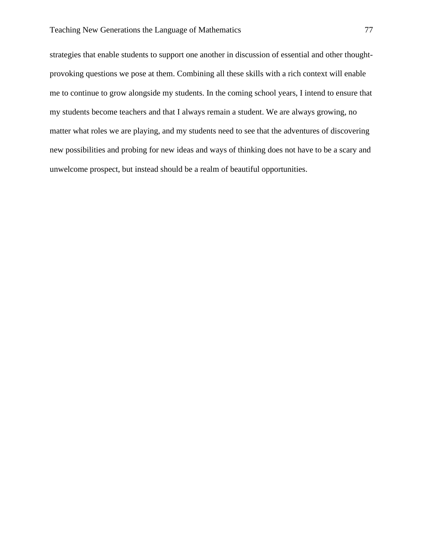strategies that enable students to support one another in discussion of essential and other thoughtprovoking questions we pose at them. Combining all these skills with a rich context will enable me to continue to grow alongside my students. In the coming school years, I intend to ensure that my students become teachers and that I always remain a student. We are always growing, no matter what roles we are playing, and my students need to see that the adventures of discovering new possibilities and probing for new ideas and ways of thinking does not have to be a scary and unwelcome prospect, but instead should be a realm of beautiful opportunities.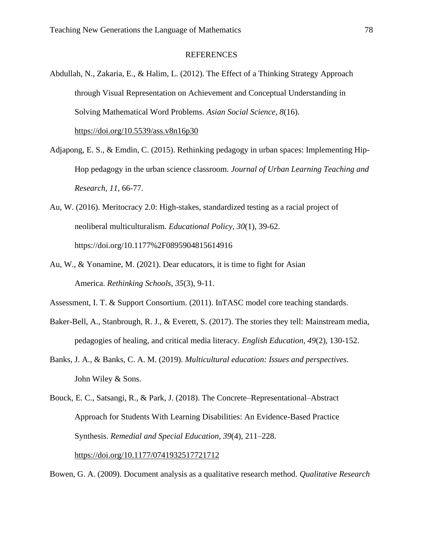# REFERENCES

- Abdullah, N., Zakaria, E., & Halim, L. (2012). The Effect of a Thinking Strategy Approach through Visual Representation on Achievement and Conceptual Understanding in Solving Mathematical Word Problems. *Asian Social Science*, *8*(16). [https://doi.org/10.5539/ass.v8n16p30](about:blank)
- Adjapong, E. S., & Emdin, C. (2015). Rethinking pedagogy in urban spaces: Implementing Hip-Hop pedagogy in the urban science classroom. *Journal of Urban Learning Teaching and Research, 11*, 66-77.
- Au, W. (2016). Meritocracy 2.0: High-stakes, standardized testing as a racial project of neoliberal multiculturalism. *Educational Policy, 30*(1), 39-62. [https://doi.org/10.1177%2F0895904815614916](about:blank)
- Au, W., & Yonamine, M. (2021). Dear educators, it is time to fight for Asian America. *Rethinking Schools*, *35*(3), 9-11.
- Assessment, I. T. & Support Consortium. (2011). InTASC model core teaching standards.
- Baker-Bell, A., Stanbrough, R. J., & Everett, S. (2017). The stories they tell: Mainstream media, pedagogies of healing, and critical media literacy. *English Education, 49*(2), 130-152.
- Banks, J. A., & Banks, C. A. M. (2019). *Multicultural education: Issues and perspectives*. John Wiley & Sons.

Bowen, G. A. (2009). Document analysis as a qualitative research method. *Qualitative Research* 

Bouck, E. C., Satsangi, R., & Park, J. (2018). The Concrete–Representational–Abstract Approach for Students With Learning Disabilities: An Evidence-Based Practice Synthesis. *Remedial and Special Education*, *39*(4), 211–228. [https://doi.org/10.1177/0741932517721712](about:blank)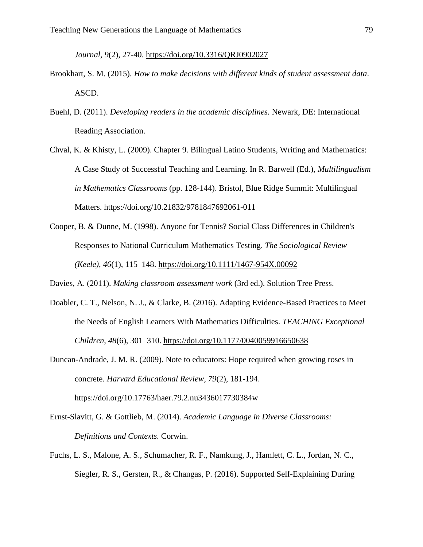*Journal, 9*(2), 27-40. [https://doi.org/10.3316/QRJ0902027](about:blank)

- Brookhart, S. M. (2015). *How to make decisions with different kinds of student assessment data*. ASCD.
- Buehl, D. (2011). *Developing readers in the academic disciplines.* Newark, DE: International Reading Association.
- Chval, K. & Khisty, L. (2009). Chapter 9. Bilingual Latino Students, Writing and Mathematics: A Case Study of Successful Teaching and Learning. In R. Barwell (Ed.), *Multilingualism in Mathematics Classrooms* (pp. 128-144). Bristol, Blue Ridge Summit: Multilingual Matters. [https://doi.org/10.21832/9781847692061-011](about:blank)
- Cooper, B. & Dunne, M. (1998). Anyone for Tennis? Social Class Differences in Children's Responses to National Curriculum Mathematics Testing. *The Sociological Review (Keele)*, *46*(1), 115–148. [https://doi.org/10.1111/1467-954X.00092](about:blank)

Davies, A. (2011). *Making classroom assessment work* (3rd ed.). Solution Tree Press.

- Doabler, C. T., Nelson, N. J., & Clarke, B. (2016). Adapting Evidence-Based Practices to Meet the Needs of English Learners With Mathematics Difficulties. *TEACHING Exceptional Children*, *48*(6), 301–310. [https://doi.org/10.1177/0040059916650638](about:blank)
- Duncan-Andrade, J. M. R. (2009). Note to educators: Hope required when growing roses in concrete. *Harvard Educational Review, 79*(2), 181-194. [https://doi.org/10.17763/haer.79.2.nu3436017730384w](about:blank)
- Ernst-Slavitt, G. & Gottlieb, M. (2014). *Academic Language in Diverse Classrooms: Definitions and Contexts.* Corwin.
- Fuchs, L. S., Malone, A. S., Schumacher, R. F., Namkung, J., Hamlett, C. L., Jordan, N. C., Siegler, R. S., Gersten, R., & Changas, P. (2016). Supported Self-Explaining During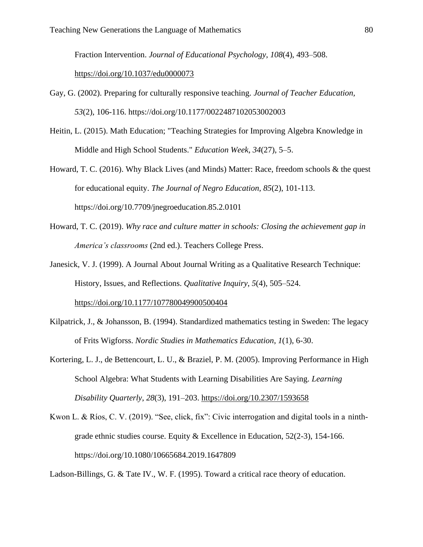Fraction Intervention. *Journal of Educational Psychology*, *108*(4), 493–508.

## [https://doi.org/10.1037/edu0000073](about:blank)

- Gay, G. (2002). Preparing for culturally responsive teaching. *Journal of Teacher Education, 53*(2), 106-116. [https://doi.org/10.1177/0022487102053002003](about:blank)
- Heitin, L. (2015). Math Education; "Teaching Strategies for Improving Algebra Knowledge in Middle and High School Students." *Education Week*, *34*(27), 5–5.
- Howard, T. C. (2016). Why Black Lives (and Minds) Matter: Race, freedom schools & the quest for educational equity. *The Journal of Negro Education, 85*(2), 101-113. [https://doi.org/10.7709/jnegroeducation.85.2.0101](about:blank)
- Howard, T. C. (2019). *Why race and culture matter in schools: Closing the achievement gap in America's classrooms* (2nd ed.). Teachers College Press.
- Janesick, V. J. (1999). A Journal About Journal Writing as a Qualitative Research Technique: History, Issues, and Reflections. *Qualitative Inquiry*, *5*(4), 505–524. [https://doi.org/10.1177/107780049900500404](about:blank)
- Kilpatrick, J., & Johansson, B. (1994). Standardized mathematics testing in Sweden: The legacy of Frits Wigforss. *Nordic Studies in Mathematics Education*, *1*(1), 6-30.
- Kortering, L. J., de Bettencourt, L. U., & Braziel, P. M. (2005). Improving Performance in High School Algebra: What Students with Learning Disabilities Are Saying. *Learning Disability Quarterly*, *28*(3), 191–203. [https://doi.org/10.2307/1593658](about:blank)
- Kwon L. & Ríos, C. V. (2019). "See, click, fix": Civic interrogation and digital tools in a ninthgrade ethnic studies course. Equity & Excellence in Education, 52(2-3), 154-166. [https://doi.org/10.1080/10665684.2019.1647809](about:blank)

Ladson-Billings, G. & Tate IV., W. F. (1995). Toward a critical race theory of education.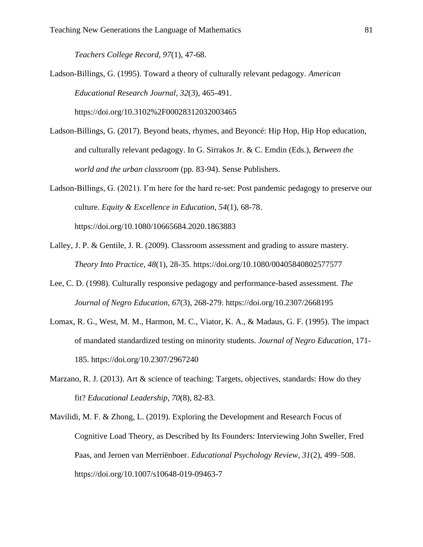*Teachers College Record, 97*(1), 47-68.

Ladson-Billings, G. (1995). Toward a theory of culturally relevant pedagogy. *American Educational Research Journal, 32*(3), 465-491.

[https://doi.org/10.3102%2F00028312032003465](about:blank)

Ladson-Billings, G. (2017). Beyond beats, rhymes, and Beyoncé: Hip Hop, Hip Hop education, and culturally relevant pedagogy. In G. Sirrakos Jr. & C. Emdin (Eds.), *Between the world and the urban classroom* (pp. 83-94). Sense Publishers.

Ladson-Billings, G. (2021). I'm here for the hard re-set: Post pandemic pedagogy to preserve our culture. *Equity & Excellence in Education, 54*(1), 68-78. [https://doi.org/10.1080/10665684.2020.1863883](about:blank)

- Lalley, J. P. & Gentile, J. R. (2009). Classroom assessment and grading to assure mastery. *Theory Into Practice, 48*(1), 28-35. [https://doi.org/10.1080/00405840802577577](about:blank)
- Lee, C. D. (1998). Culturally responsive pedagogy and performance-based assessment. *The Journal of Negro Education, 67*(3), 268-279. [https://doi.org/10.2307/2668195](about:blank)
- Lomax, R. G., West, M. M., Harmon, M. C., Viator, K. A., & Madaus, G. F. (1995). The impact of mandated standardized testing on minority students. *Journal of Negro Education*, 171- 185. [https://doi.org/10.2307/2967240](about:blank)
- Marzano, R. J. (2013). Art & science of teaching: Targets, objectives, standards: How do they fit? *Educational Leadership, 70*(8), 82-83.
- Mavilidi, M. F. & Zhong, L. (2019). Exploring the Development and Research Focus of Cognitive Load Theory, as Described by Its Founders: Interviewing John Sweller, Fred Paas, and Jeroen van Merriënboer. *Educational Psychology Review, 31*(2), 499–508. [https://doi.org/10.1007/s10648-019-09463-7](about:blank)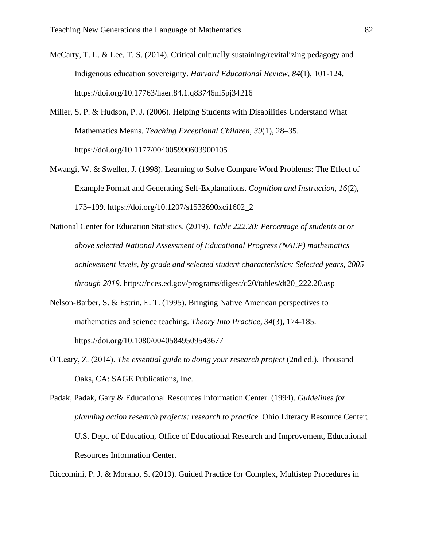- McCarty, T. L. & Lee, T. S. (2014). Critical culturally sustaining/revitalizing pedagogy and Indigenous education sovereignty. *Harvard Educational Review, 84*(1), 101-124. [https://doi.org/10.17763/haer.84.1.q83746nl5pj34216](about:blank)
- Miller, S. P. & Hudson, P. J. (2006). Helping Students with Disabilities Understand What Mathematics Means. *Teaching Exceptional Children, 39*(1), 28–35. [https://doi.org/10.1177/004005990603900105](about:blank)
- Mwangi, W. & Sweller, J. (1998). Learning to Solve Compare Word Problems: The Effect of Example Format and Generating Self-Explanations. *Cognition and Instruction, 16*(2), 173–199. [https://doi.org/10.1207/s1532690xci1602\\_2](about:blank)
- National Center for Education Statistics. (2019). *Table 222.20: Percentage of students at or above selected National Assessment of Educational Progress (NAEP) mathematics achievement levels, by grade and selected student characteristics: Selected years, 2005 through 2019*. [https://nces.ed.gov/programs/digest/d20/tables/dt20\\_222.20.asp](about:blank)
- Nelson-Barber, S. & Estrin, E. T. (1995). Bringing Native American perspectives to mathematics and science teaching. *Theory Into Practice, 34*(3), 174-185. [https://doi.org/10.1080/00405849509543677](about:blank)
- O'Leary, Z. (2014). *The essential guide to doing your research project* (2nd ed.). Thousand Oaks, CA: SAGE Publications, Inc.
- Padak, Padak, Gary & Educational Resources Information Center. (1994). *Guidelines for planning action research projects: research to practice.* Ohio Literacy Resource Center; U.S. Dept. of Education, Office of Educational Research and Improvement, Educational Resources Information Center.

Riccomini, P. J. & Morano, S. (2019). Guided Practice for Complex, Multistep Procedures in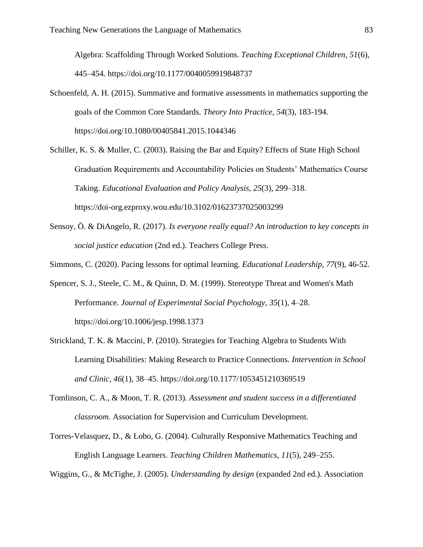Algebra: Scaffolding Through Worked Solutions. *Teaching Exceptional Children, 51*(6), 445–454. [https://doi.org/10.1177/0040059919848737](about:blank)

- Schoenfeld, A. H. (2015). Summative and formative assessments in mathematics supporting the goals of the Common Core Standards. *Theory Into Practice, 54*(3), 183-194. [https://doi.org/10.1080/00405841.2015.1044346](about:blank)
- Schiller, K. S. & Muller, C. (2003). Raising the Bar and Equity? Effects of State High School Graduation Requirements and Accountability Policies on Students' Mathematics Course Taking. *Educational Evaluation and Policy Analysis, 25*(3), 299–318. [https://doi-org.ezproxy.wou.edu/10.3102/01623737025003299](about:blank)
- Sensoy, Ö. & DiAngelo, R. (2017). *Is everyone really equal? An introduction to key concepts in social justice education* (2nd ed.). Teachers College Press.
- Simmons, C. (2020). Pacing lessons for optimal learning. *Educational Leadership, 77*(9), 46-52.
- Spencer, S. J., Steele, C. M., & Quinn, D. M. (1999). Stereotype Threat and Women's Math Performance. *Journal of Experimental Social Psychology, 35*(1), 4–28. [https://doi.org/10.1006/jesp.1998.1373](about:blank)
- Strickland, T. K. & Maccini, P. (2010). Strategies for Teaching Algebra to Students With Learning Disabilities: Making Research to Practice Connections. *Intervention in School and Clinic, 46*(1), 38–45. [https://doi.org/10.1177/1053451210369519](about:blank)
- Tomlinson, C. A., & Moon, T. R. (2013). *Assessment and student success in a differentiated classroom.* Association for Supervision and Curriculum Development.
- Torres-Velasquez, D., & Lobo, G. (2004). Culturally Responsive Mathematics Teaching and English Language Learners. *Teaching Children Mathematics, 11*(5), 249–255.

Wiggins, G., & McTighe, J. (2005). *Understanding by design* (expanded 2nd ed.). Association